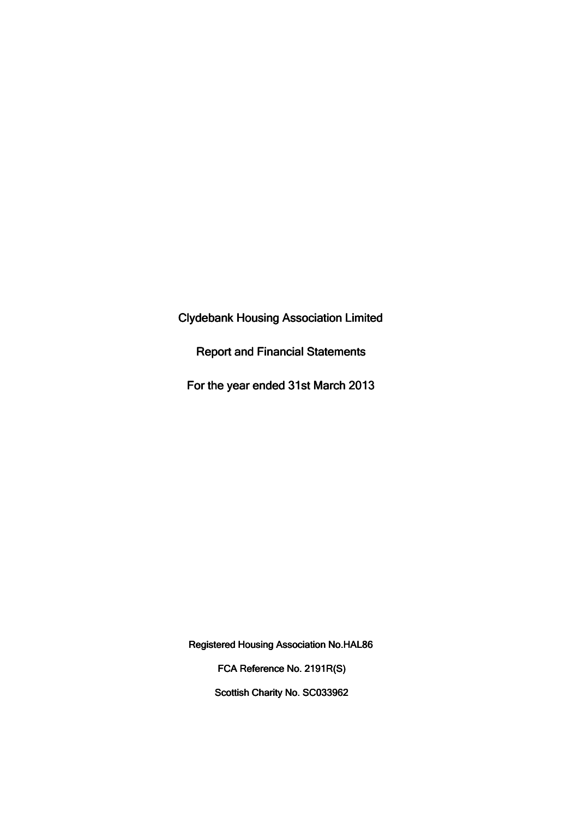Clydebank Housing Association Limited

Report and Financial Statements

For the year ended 31st March 2013

Registered Housing Association No.HAL86

FCA Reference No. 2191R(S)

Scottish Charity No. SC033962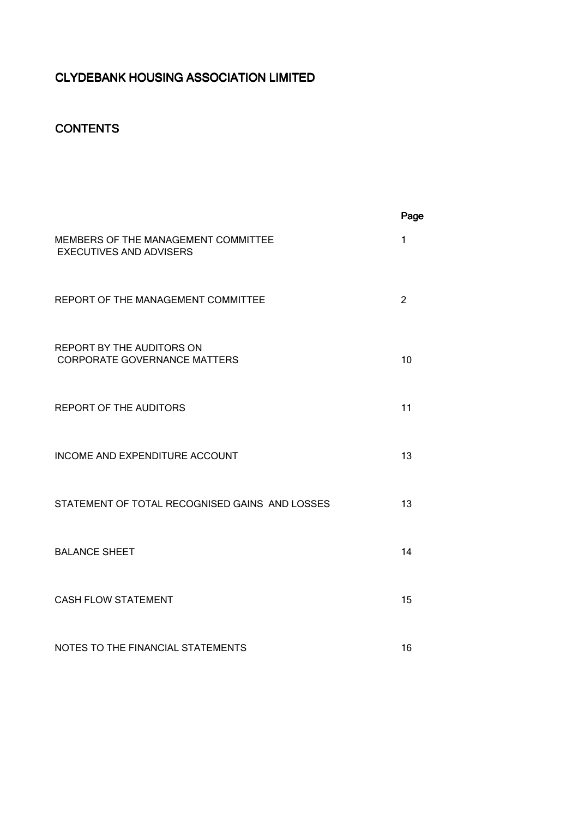# **CONTENTS**

|                                                                       | Page |
|-----------------------------------------------------------------------|------|
| MEMBERS OF THE MANAGEMENT COMMITTEE<br><b>EXECUTIVES AND ADVISERS</b> | 1    |
| REPORT OF THE MANAGEMENT COMMITTEE                                    | 2    |
| REPORT BY THE AUDITORS ON<br><b>CORPORATE GOVERNANCE MATTERS</b>      | 10   |
| <b>REPORT OF THE AUDITORS</b>                                         | 11   |
| INCOME AND EXPENDITURE ACCOUNT                                        | 13   |
| STATEMENT OF TOTAL RECOGNISED GAINS AND LOSSES                        | 13   |
| <b>BALANCE SHEET</b>                                                  | 14   |
| <b>CASH FLOW STATEMENT</b>                                            | 15   |
| NOTES TO THE FINANCIAL STATEMENTS                                     | 16   |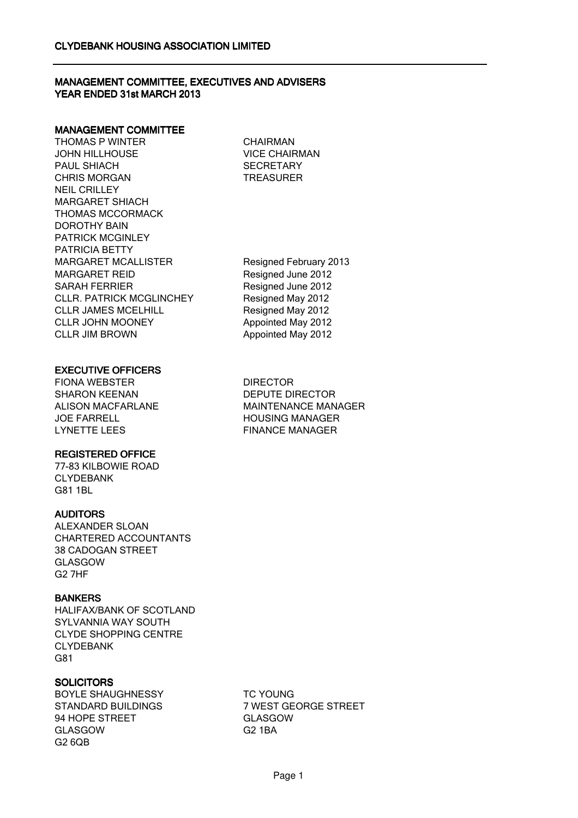## MANAGEMENT COMMITTEE, EXECUTIVES AND ADVISERS YEAR ENDED 31st MARCH 2013

#### MANAGEMENT COMMITTEE

THOMAS P WINTER JOHN HILLHOUSE PAUL SHIACH CHRIS MORGAN NEIL CRILLEY MARGARET SHIACH THOMAS MCCORMACK DOROTHY BAIN PATRICK MCGINLEY PATRICIA BETTY MARGARET MCALLISTER Resigned February 2013 MARGARET REID Resigned June 2012 SARAH FERRIER Resigned June 2012 CLLR. PATRICK MCGLINCHEY Resigned May 2012 CLLR JAMES MCELHILL Resigned May 2012 CLLR JOHN MOONEY Appointed May 2012 CLLR JIM BROWN Appointed May 2012

CHAIRMAN VICE CHAIRMAN **SECRETARY TREASURER** 

## EXECUTIVE OFFICERS

FIONA WEBSTER DIRECTOR SHARON KEENAN DEPUTE DIRECTOR JOE FARRELL HOUSING MANAGER LYNETTE LEES FINANCE MANAGER

## REGISTERED OFFICE

77-83 KILBOWIE ROAD CLYDEBANK G81 1BL

## AUDITORS

ALEXANDER SLOAN CHARTERED ACCOUNTANTS 38 CADOGAN STREET GLASGOW G2 7HF

## **BANKERS**

HALIFAX/BANK OF SCOTLAND SYLVANNIA WAY SOUTH CLYDE SHOPPING CENTRE CLYDEBANK G81

## **SOLICITORS**

BOYLE SHAUGHNESSY TC YOUNG 94 HOPE STREET GLASGOW GLASGOW G2 1BA G2 6QB

ALISON MACFARLANE MAINTENANCE MANAGER

STANDARD BUILDINGS 7 WEST GEORGE STREET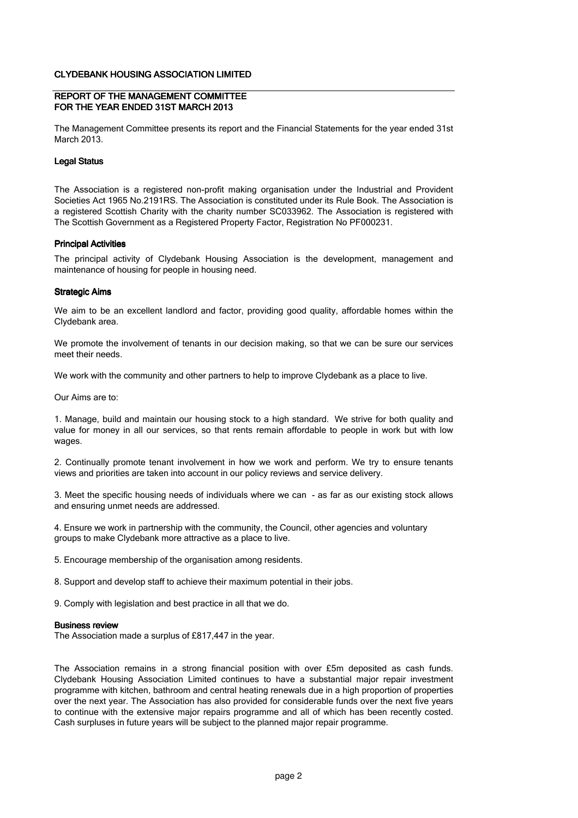#### REPORT OF THE MANAGEMENT COMMITTEE FOR THE YEAR ENDED 31ST MARCH 2013

The Management Committee presents its report and the Financial Statements for the year ended 31st March 2013.

#### Legal Status

The Association is a registered non-profit making organisation under the Industrial and Provident Societies Act 1965 No.2191RS. The Association is constituted under its Rule Book. The Association is a registered Scottish Charity with the charity number SC033962. The Association is registered with The Scottish Government as a Registered Property Factor, Registration No PF000231.

#### Principal Activities

The principal activity of Clydebank Housing Association is the development, management and maintenance of housing for people in housing need.

#### Strategic Aims

We aim to be an excellent landlord and factor, providing good quality, affordable homes within the Clydebank area.

We promote the involvement of tenants in our decision making, so that we can be sure our services meet their needs.

We work with the community and other partners to help to improve Clydebank as a place to live.

Our Aims are to:

1. Manage, build and maintain our housing stock to a high standard. We strive for both quality and value for money in all our services, so that rents remain affordable to people in work but with low wages.

2. Continually promote tenant involvement in how we work and perform. We try to ensure tenants views and priorities are taken into account in our policy reviews and service delivery.

3. Meet the specific housing needs of individuals where we can - as far as our existing stock allows and ensuring unmet needs are addressed.

4. Ensure we work in partnership with the community, the Council, other agencies and voluntary groups to make Clydebank more attractive as a place to live.

5. Encourage membership of the organisation among residents.

8. Support and develop staff to achieve their maximum potential in their jobs.

9. Comply with legislation and best practice in all that we do.

#### Business review

The Association made a surplus of £817,447 in the year.

The Association remains in a strong financial position with over £5m deposited as cash funds. Clydebank Housing Association Limited continues to have a substantial major repair investment programme with kitchen, bathroom and central heating renewals due in a high proportion of properties over the next year. The Association has also provided for considerable funds over the next five years to continue with the extensive major repairs programme and all of which has been recently costed. Cash surpluses in future years will be subject to the planned major repair programme.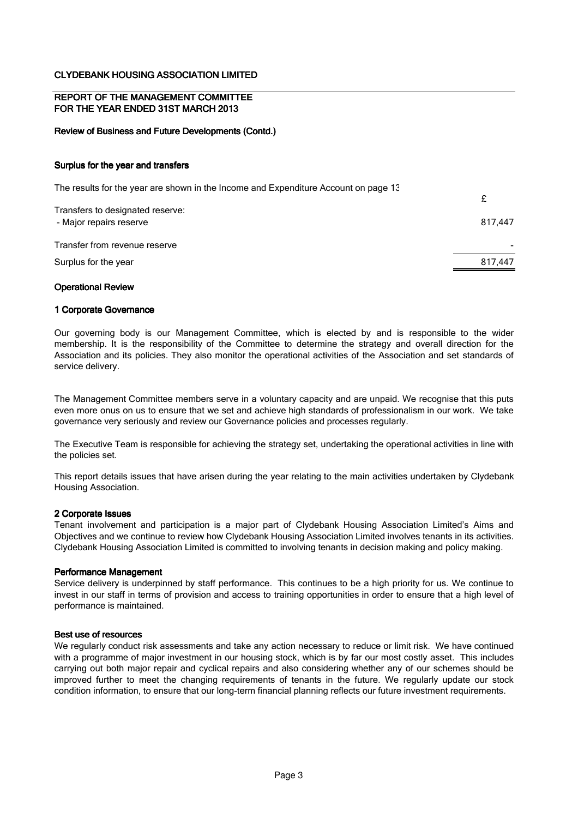#### REPORT OF THE MANAGEMENT COMMITTEE FOR THE YEAR ENDED 31ST MARCH 2013

#### Review of Business and Future Developments (Contd.)

#### Surplus for the year and transfers

| The results for the year are shown in the Income and Expenditure Account on page 13 |         |
|-------------------------------------------------------------------------------------|---------|
| Transfers to designated reserve:                                                    |         |
| - Major repairs reserve                                                             | 817.447 |
| Transfer from revenue reserve                                                       |         |
| Surplus for the year                                                                | 817,447 |

#### Operational Review

#### 1 Corporate Governance

Our governing body is our Management Committee, which is elected by and is responsible to the wider membership. It is the responsibility of the Committee to determine the strategy and overall direction for the Association and its policies. They also monitor the operational activities of the Association and set standards of service delivery.

The Management Committee members serve in a voluntary capacity and are unpaid. We recognise that this puts even more onus on us to ensure that we set and achieve high standards of professionalism in our work. We take governance very seriously and review our Governance policies and processes regularly.

The Executive Team is responsible for achieving the strategy set, undertaking the operational activities in line with the policies set.

This report details issues that have arisen during the year relating to the main activities undertaken by Clydebank Housing Association.

#### 2 Corporate Issues

Tenant involvement and participation is a major part of Clydebank Housing Association Limited's Aims and Objectives and we continue to review how Clydebank Housing Association Limited involves tenants in its activities. Clydebank Housing Association Limited is committed to involving tenants in decision making and policy making.

#### Performance Management

Service delivery is underpinned by staff performance. This continues to be a high priority for us. We continue to invest in our staff in terms of provision and access to training opportunities in order to ensure that a high level of performance is maintained.

#### Best use of resources

We regularly conduct risk assessments and take any action necessary to reduce or limit risk. We have continued with a programme of major investment in our housing stock, which is by far our most costly asset. This includes carrying out both major repair and cyclical repairs and also considering whether any of our schemes should be improved further to meet the changing requirements of tenants in the future. We regularly update our stock condition information, to ensure that our long-term financial planning reflects our future investment requirements.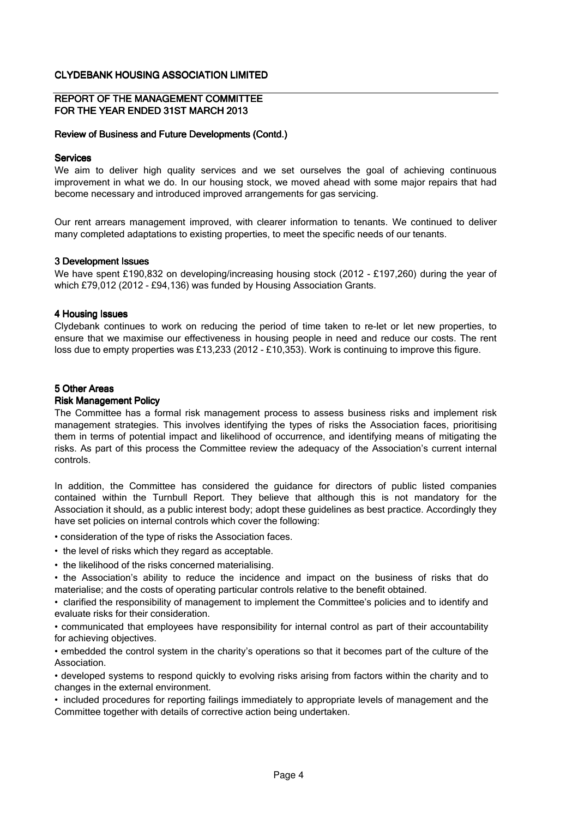#### REPORT OF THE MANAGEMENT COMMITTEE FOR THE YEAR ENDED 31ST MARCH 2013

#### Review of Business and Future Developments (Contd.)

#### **Services**

We aim to deliver high quality services and we set ourselves the goal of achieving continuous improvement in what we do. In our housing stock, we moved ahead with some major repairs that had become necessary and introduced improved arrangements for gas servicing.

Our rent arrears management improved, with clearer information to tenants. We continued to deliver many completed adaptations to existing properties, to meet the specific needs of our tenants.

#### 3 Development Issues

We have spent £190,832 on developing/increasing housing stock (2012 - £197,260) during the year of which £79,012 (2012 - £94,136) was funded by Housing Association Grants.

#### 4 Housing Issues

Clydebank continues to work on reducing the period of time taken to re-let or let new properties, to ensure that we maximise our effectiveness in housing people in need and reduce our costs. The rent loss due to empty properties was £13,233 (2012 - £10,353). Work is continuing to improve this figure.

#### 5 Other Areas

#### Risk Management Policy

The Committee has a formal risk management process to assess business risks and implement risk management strategies. This involves identifying the types of risks the Association faces, prioritising them in terms of potential impact and likelihood of occurrence, and identifying means of mitigating the risks. As part of this process the Committee review the adequacy of the Association's current internal controls.

In addition, the Committee has considered the guidance for directors of public listed companies contained within the Turnbull Report. They believe that although this is not mandatory for the Association it should, as a public interest body; adopt these guidelines as best practice. Accordingly they have set policies on internal controls which cover the following:

• consideration of the type of risks the Association faces.

- the level of risks which they regard as acceptable.
- the likelihood of the risks concerned materialising.

• the Association's ability to reduce the incidence and impact on the business of risks that do materialise; and the costs of operating particular controls relative to the benefit obtained.

• clarified the responsibility of management to implement the Committee's policies and to identify and evaluate risks for their consideration.

• communicated that employees have responsibility for internal control as part of their accountability for achieving objectives.

• embedded the control system in the charity's operations so that it becomes part of the culture of the Association.

• developed systems to respond quickly to evolving risks arising from factors within the charity and to changes in the external environment.

• included procedures for reporting failings immediately to appropriate levels of management and the Committee together with details of corrective action being undertaken.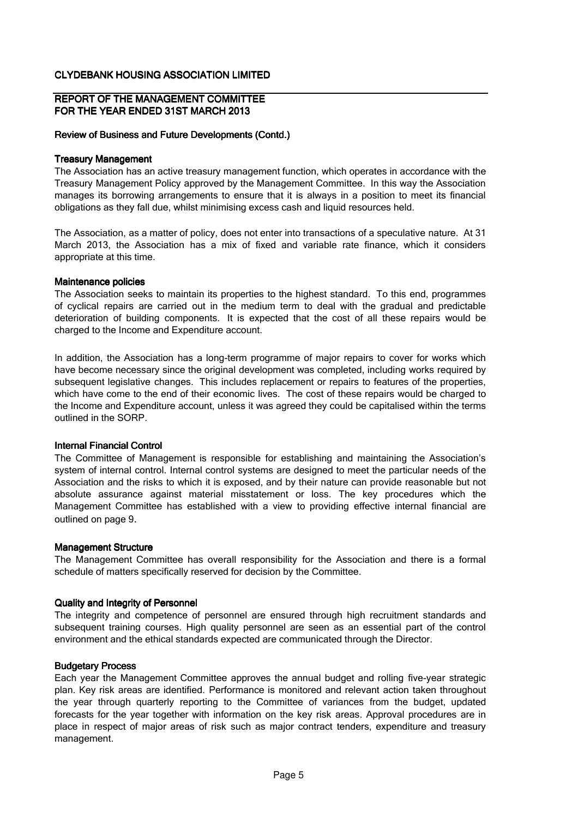#### REPORT OF THE MANAGEMENT COMMITTEE FOR THE YEAR ENDED 31ST MARCH 2013

#### Review of Business and Future Developments (Contd.)

#### Treasury Management

The Association has an active treasury management function, which operates in accordance with the Treasury Management Policy approved by the Management Committee. In this way the Association manages its borrowing arrangements to ensure that it is always in a position to meet its financial obligations as they fall due, whilst minimising excess cash and liquid resources held.

The Association, as a matter of policy, does not enter into transactions of a speculative nature. At 31 March 2013, the Association has a mix of fixed and variable rate finance, which it considers appropriate at this time.

#### Maintenance policies

The Association seeks to maintain its properties to the highest standard. To this end, programmes of cyclical repairs are carried out in the medium term to deal with the gradual and predictable deterioration of building components. It is expected that the cost of all these repairs would be charged to the Income and Expenditure account.

In addition, the Association has a long-term programme of major repairs to cover for works which have become necessary since the original development was completed, including works required by subsequent legislative changes. This includes replacement or repairs to features of the properties, which have come to the end of their economic lives. The cost of these repairs would be charged to the Income and Expenditure account, unless it was agreed they could be capitalised within the terms outlined in the SORP.

#### Internal Financial Control

The Committee of Management is responsible for establishing and maintaining the Association's system of internal control. Internal control systems are designed to meet the particular needs of the Association and the risks to which it is exposed, and by their nature can provide reasonable but not absolute assurance against material misstatement or loss. The key procedures which the Management Committee has established with a view to providing effective internal financial are outlined on page 9.

#### Management Structure

The Management Committee has overall responsibility for the Association and there is a formal schedule of matters specifically reserved for decision by the Committee.

#### Quality and Integrity of Personnel

The integrity and competence of personnel are ensured through high recruitment standards and subsequent training courses. High quality personnel are seen as an essential part of the control environment and the ethical standards expected are communicated through the Director.

#### Budgetary Process

Each year the Management Committee approves the annual budget and rolling five-year strategic plan. Key risk areas are identified. Performance is monitored and relevant action taken throughout the year through quarterly reporting to the Committee of variances from the budget, updated forecasts for the year together with information on the key risk areas. Approval procedures are in place in respect of major areas of risk such as major contract tenders, expenditure and treasury management.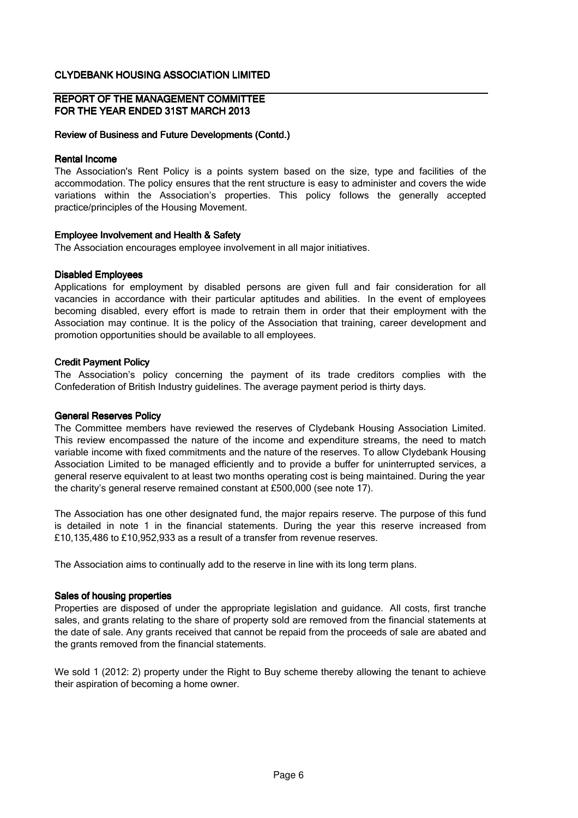#### REPORT OF THE MANAGEMENT COMMITTEE FOR THE YEAR ENDED 31ST MARCH 2013

#### Review of Business and Future Developments (Contd.)

#### Rental Income

The Association's Rent Policy is a points system based on the size, type and facilities of the accommodation. The policy ensures that the rent structure is easy to administer and covers the wide variations within the Association's properties. This policy follows the generally accepted practice/principles of the Housing Movement.

#### Employee Involvement and Health & Safety

The Association encourages employee involvement in all major initiatives.

#### Disabled Employees

Applications for employment by disabled persons are given full and fair consideration for all vacancies in accordance with their particular aptitudes and abilities. In the event of employees becoming disabled, every effort is made to retrain them in order that their employment with the Association may continue. It is the policy of the Association that training, career development and promotion opportunities should be available to all employees.

#### Credit Payment Policy

The Association's policy concerning the payment of its trade creditors complies with the Confederation of British Industry guidelines. The average payment period is thirty days.

#### General Reserves Policy

The Committee members have reviewed the reserves of Clydebank Housing Association Limited. This review encompassed the nature of the income and expenditure streams, the need to match variable income with fixed commitments and the nature of the reserves. To allow Clydebank Housing Association Limited to be managed efficiently and to provide a buffer for uninterrupted services, a general reserve equivalent to at least two months operating cost is being maintained. During the year the charity's general reserve remained constant at £500,000 (see note 17).

The Association has one other designated fund, the major repairs reserve. The purpose of this fund is detailed in note 1 in the financial statements. During the year this reserve increased from £10,135,486 to £10,952,933 as a result of a transfer from revenue reserves.

The Association aims to continually add to the reserve in line with its long term plans.

#### Sales of housing properties

Properties are disposed of under the appropriate legislation and guidance. All costs, first tranche sales, and grants relating to the share of property sold are removed from the financial statements at the date of sale. Any grants received that cannot be repaid from the proceeds of sale are abated and the grants removed from the financial statements.

We sold 1 (2012: 2) property under the Right to Buy scheme thereby allowing the tenant to achieve their aspiration of becoming a home owner.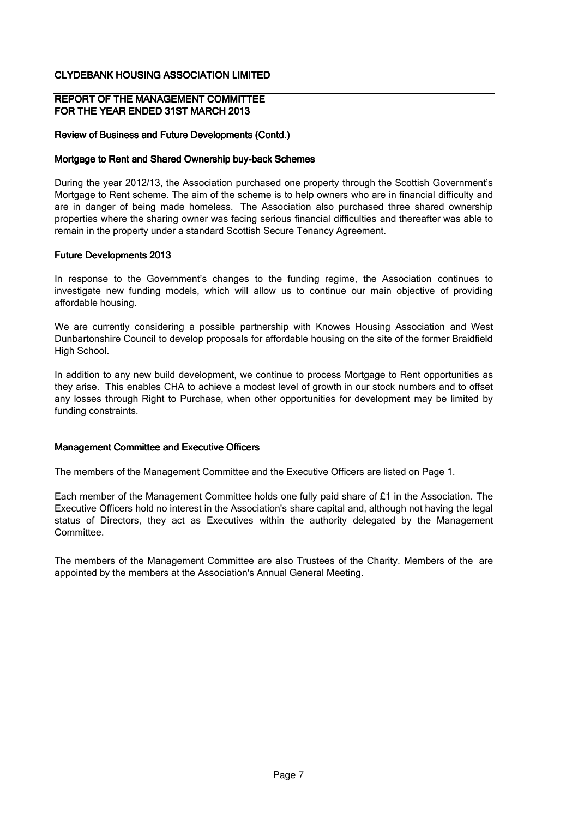#### REPORT OF THE MANAGEMENT COMMITTEE FOR THE YEAR ENDED 31ST MARCH 2013

### Review of Business and Future Developments (Contd.)

#### Mortgage to Rent and Shared Ownership buy-back Schemes

During the year 2012/13, the Association purchased one property through the Scottish Government's Mortgage to Rent scheme. The aim of the scheme is to help owners who are in financial difficulty and are in danger of being made homeless. The Association also purchased three shared ownership properties where the sharing owner was facing serious financial difficulties and thereafter was able to remain in the property under a standard Scottish Secure Tenancy Agreement.

#### Future Developments 2013

In response to the Government's changes to the funding regime, the Association continues to investigate new funding models, which will allow us to continue our main objective of providing affordable housing.

We are currently considering a possible partnership with Knowes Housing Association and West Dunbartonshire Council to develop proposals for affordable housing on the site of the former Braidfield High School.

In addition to any new build development, we continue to process Mortgage to Rent opportunities as they arise. This enables CHA to achieve a modest level of growth in our stock numbers and to offset any losses through Right to Purchase, when other opportunities for development may be limited by funding constraints.

#### Management Committee and Executive Officers

The members of the Management Committee and the Executive Officers are listed on Page 1.

Each member of the Management Committee holds one fully paid share of £1 in the Association. The Executive Officers hold no interest in the Association's share capital and, although not having the legal status of Directors, they act as Executives within the authority delegated by the Management Committee.

The members of the Management Committee are also Trustees of the Charity. Members of the are appointed by the members at the Association's Annual General Meeting.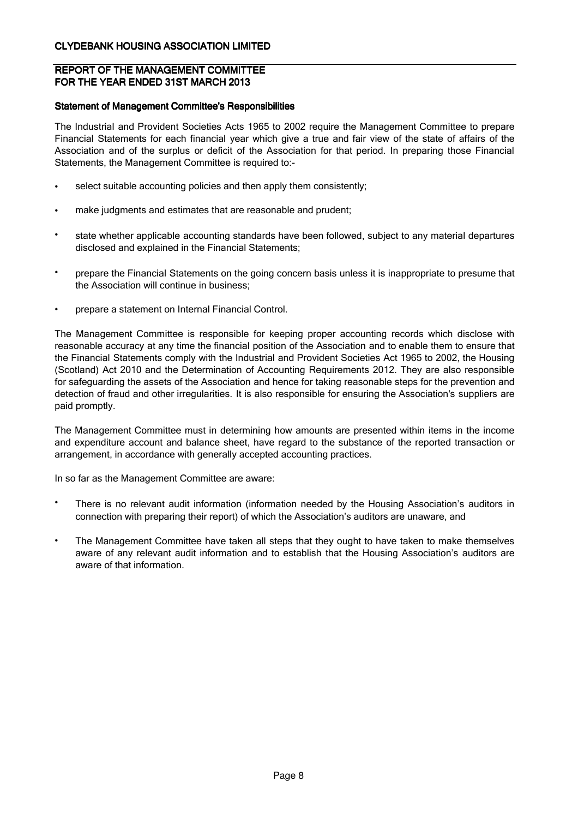## REPORT OF THE MANAGEMENT COMMITTEE FOR THE YEAR ENDED 31ST MARCH 2013

### Statement of Management Committee's Responsibilities

The Industrial and Provident Societies Acts 1965 to 2002 require the Management Committee to prepare Financial Statements for each financial year which give a true and fair view of the state of affairs of the Association and of the surplus or deficit of the Association for that period. In preparing those Financial Statements, the Management Committee is required to:-

- select suitable accounting policies and then apply them consistently;
- make judgments and estimates that are reasonable and prudent;
- state whether applicable accounting standards have been followed, subject to any material departures disclosed and explained in the Financial Statements;
- prepare the Financial Statements on the going concern basis unless it is inappropriate to presume that the Association will continue in business;
- prepare a statement on Internal Financial Control.

The Management Committee is responsible for keeping proper accounting records which disclose with reasonable accuracy at any time the financial position of the Association and to enable them to ensure that the Financial Statements comply with the Industrial and Provident Societies Act 1965 to 2002, the Housing (Scotland) Act 2010 and the Determination of Accounting Requirements 2012. They are also responsible for safeguarding the assets of the Association and hence for taking reasonable steps for the prevention and detection of fraud and other irregularities. It is also responsible for ensuring the Association's suppliers are paid promptly.

The Management Committee must in determining how amounts are presented within items in the income and expenditure account and balance sheet, have regard to the substance of the reported transaction or arrangement, in accordance with generally accepted accounting practices.

In so far as the Management Committee are aware:

- There is no relevant audit information (information needed by the Housing Association's auditors in connection with preparing their report) of which the Association's auditors are unaware, and
- The Management Committee have taken all steps that they ought to have taken to make themselves aware of any relevant audit information and to establish that the Housing Association's auditors are aware of that information.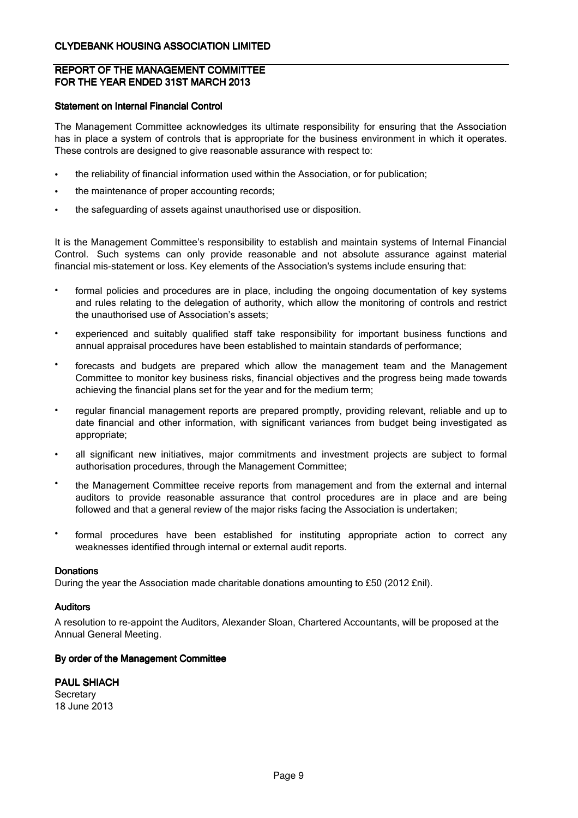## REPORT OF THE MANAGEMENT COMMITTEE FOR THE YEAR ENDED 31ST MARCH 2013

#### Statement on Internal Financial Control

The Management Committee acknowledges its ultimate responsibility for ensuring that the Association has in place a system of controls that is appropriate for the business environment in which it operates. These controls are designed to give reasonable assurance with respect to:

- the reliability of financial information used within the Association, or for publication;
- the maintenance of proper accounting records;
- the safeguarding of assets against unauthorised use or disposition.

It is the Management Committee's responsibility to establish and maintain systems of Internal Financial Control. Such systems can only provide reasonable and not absolute assurance against material financial mis-statement or loss. Key elements of the Association's systems include ensuring that:

- formal policies and procedures are in place, including the ongoing documentation of key systems and rules relating to the delegation of authority, which allow the monitoring of controls and restrict the unauthorised use of Association's assets;
- experienced and suitably qualified staff take responsibility for important business functions and annual appraisal procedures have been established to maintain standards of performance;
- forecasts and budgets are prepared which allow the management team and the Management Committee to monitor key business risks, financial objectives and the progress being made towards achieving the financial plans set for the year and for the medium term;
- regular financial management reports are prepared promptly, providing relevant, reliable and up to date financial and other information, with significant variances from budget being investigated as appropriate;
- all significant new initiatives, major commitments and investment projects are subject to formal authorisation procedures, through the Management Committee;
- the Management Committee receive reports from management and from the external and internal auditors to provide reasonable assurance that control procedures are in place and are being followed and that a general review of the major risks facing the Association is undertaken;
- formal procedures have been established for instituting appropriate action to correct any weaknesses identified through internal or external audit reports.

#### **Donations**

During the year the Association made charitable donations amounting to £50 (2012 £nil).

## Auditors

A resolution to re-appoint the Auditors, Alexander Sloan, Chartered Accountants, will be proposed at the Annual General Meeting.

#### By order of the Management Committee

18 June 2013 **Secretary** PAUL SHIACH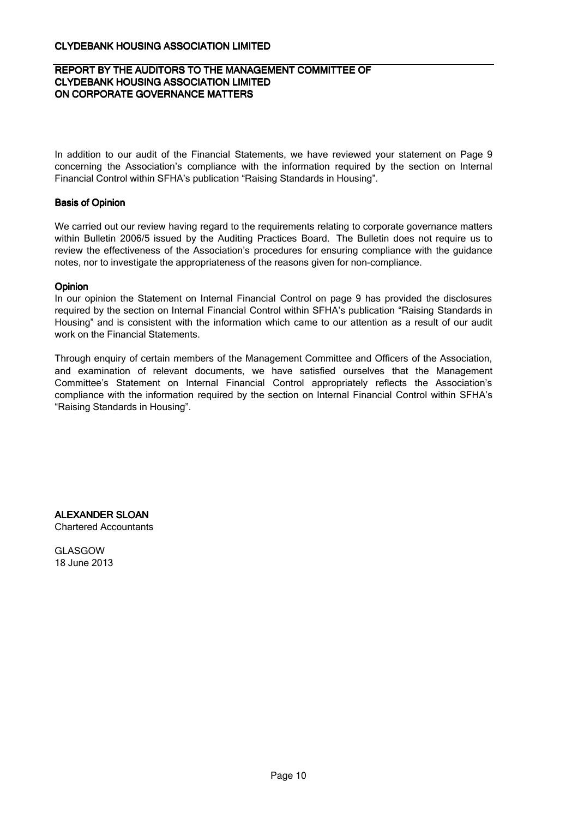## REPORT BY THE AUDITORS TO THE MANAGEMENT COMMITTEE OF CLYDEBANK HOUSING ASSOCIATION LIMITED ON CORPORATE GOVERNANCE MATTERS

In addition to our audit of the Financial Statements, we have reviewed your statement on Page 9 concerning the Association's compliance with the information required by the section on Internal Financial Control within SFHA's publication "Raising Standards in Housing".

## Basis of Opinion

We carried out our review having regard to the requirements relating to corporate governance matters within Bulletin 2006/5 issued by the Auditing Practices Board. The Bulletin does not require us to review the effectiveness of the Association's procedures for ensuring compliance with the guidance notes, nor to investigate the appropriateness of the reasons given for non-compliance.

#### **Opinion**

In our opinion the Statement on Internal Financial Control on page 9 has provided the disclosures required by the section on Internal Financial Control within SFHA's publication "Raising Standards in Housing" and is consistent with the information which came to our attention as a result of our audit work on the Financial Statements.

Through enquiry of certain members of the Management Committee and Officers of the Association, and examination of relevant documents, we have satisfied ourselves that the Management Committee's Statement on Internal Financial Control appropriately reflects the Association's compliance with the information required by the section on Internal Financial Control within SFHA's "Raising Standards in Housing".

ALEXANDER SLOAN Chartered Accountants

GLASGOW 18 June 2013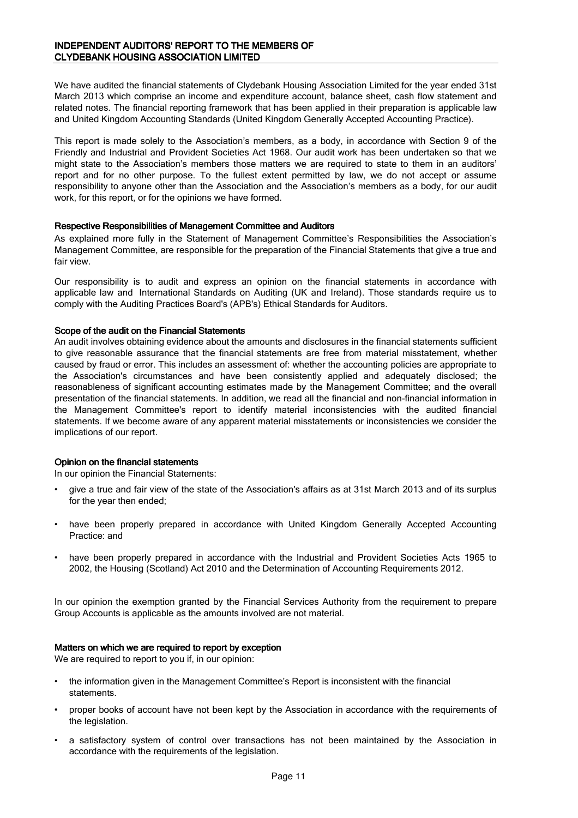We have audited the financial statements of Clydebank Housing Association Limited for the year ended 31st March 2013 which comprise an income and expenditure account, balance sheet, cash flow statement and related notes. The financial reporting framework that has been applied in their preparation is applicable law and United Kingdom Accounting Standards (United Kingdom Generally Accepted Accounting Practice).

This report is made solely to the Association's members, as a body, in accordance with Section 9 of the Friendly and Industrial and Provident Societies Act 1968. Our audit work has been undertaken so that we might state to the Association's members those matters we are required to state to them in an auditors' report and for no other purpose. To the fullest extent permitted by law, we do not accept or assume responsibility to anyone other than the Association and the Association's members as a body, for our audit work, for this report, or for the opinions we have formed.

#### Respective Responsibilities of Management Committee and Auditors

As explained more fully in the Statement of Management Committee's Responsibilities the Association's Management Committee, are responsible for the preparation of the Financial Statements that give a true and fair view.

Our responsibility is to audit and express an opinion on the financial statements in accordance with applicable law and International Standards on Auditing (UK and Ireland). Those standards require us to comply with the Auditing Practices Board's (APB's) Ethical Standards for Auditors.

#### Scope of the audit on the Financial Statements

An audit involves obtaining evidence about the amounts and disclosures in the financial statements sufficient to give reasonable assurance that the financial statements are free from material misstatement, whether caused by fraud or error. This includes an assessment of: whether the accounting policies are appropriate to the Association's circumstances and have been consistently applied and adequately disclosed; the reasonableness of significant accounting estimates made by the Management Committee; and the overall presentation of the financial statements. In addition, we read all the financial and non-financial information in the Management Committee's report to identify material inconsistencies with the audited financial statements. If we become aware of any apparent material misstatements or inconsistencies we consider the implications of our report.

#### Opinion on the financial statements

In our opinion the Financial Statements:

- give a true and fair view of the state of the Association's affairs as at 31st March 2013 and of its surplus for the year then ended;
- have been properly prepared in accordance with United Kingdom Generally Accepted Accounting Practice: and
- have been properly prepared in accordance with the Industrial and Provident Societies Acts 1965 to 2002, the Housing (Scotland) Act 2010 and the Determination of Accounting Requirements 2012.

In our opinion the exemption granted by the Financial Services Authority from the requirement to prepare Group Accounts is applicable as the amounts involved are not material.

### Matters on which we are required to report by exception

We are required to report to you if, in our opinion:

- the information given in the Management Committee's Report is inconsistent with the financial statements.
- proper books of account have not been kept by the Association in accordance with the requirements of the legislation.
- a satisfactory system of control over transactions has not been maintained by the Association in accordance with the requirements of the legislation.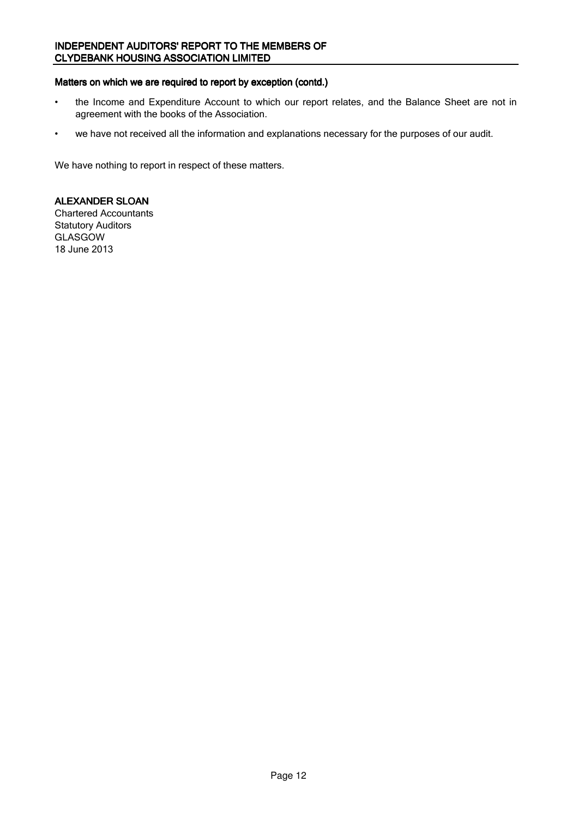## INDEPENDENT AUDITORS' REPORT TO THE MEMBERS OF CLYDEBANK HOUSING ASSOCIATION LIMITED

# Matters on which we are required to report by exception (contd.)

- the Income and Expenditure Account to which our report relates, and the Balance Sheet are not in agreement with the books of the Association.
- we have not received all the information and explanations necessary for the purposes of our audit.

We have nothing to report in respect of these matters.

## ALEXANDER SLOAN

Chartered Accountants Statutory Auditors GLASGOW 18 June 2013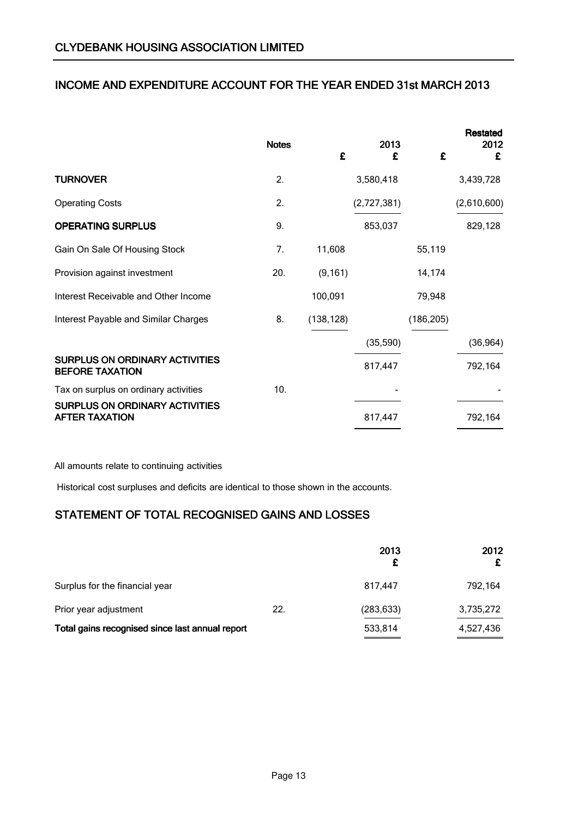# INCOME AND EXPENDITURE ACCOUNT FOR THE YEAR ENDED 31st MARCH 2013

|                                                                 | <b>Notes</b> | £          | 2013<br>£   | £          | <b>Restated</b><br>2012<br>£ |
|-----------------------------------------------------------------|--------------|------------|-------------|------------|------------------------------|
| <b>TURNOVER</b>                                                 | 2.           |            | 3,580,418   |            | 3,439,728                    |
| <b>Operating Costs</b>                                          | 2.           |            | (2,727,381) |            | (2,610,600)                  |
| <b>OPERATING SURPLUS</b>                                        | 9.           |            | 853,037     |            | 829,128                      |
| Gain On Sale Of Housing Stock                                   | 7.           | 11,608     |             | 55,119     |                              |
| Provision against investment                                    | 20.          | (9, 161)   |             | 14,174     |                              |
| Interest Receivable and Other Income                            |              | 100,091    |             | 79,948     |                              |
| Interest Payable and Similar Charges                            | 8.           | (138, 128) |             | (186, 205) |                              |
|                                                                 |              |            | (35,590)    |            | (36, 964)                    |
| <b>SURPLUS ON ORDINARY ACTIVITIES</b><br><b>BEFORE TAXATION</b> |              |            | 817,447     |            | 792,164                      |
| Tax on surplus on ordinary activities                           | 10.          |            |             |            |                              |
| <b>SURPLUS ON ORDINARY ACTIVITIES</b><br><b>AFTER TAXATION</b>  |              |            | 817,447     |            | 792,164                      |

All amounts relate to continuing activities

Historical cost surpluses and deficits are identical to those shown in the accounts.

# STATEMENT OF TOTAL RECOGNISED GAINS AND LOSSES

|                                                 |     | 2013       | 2012      |
|-------------------------------------------------|-----|------------|-----------|
| Surplus for the financial year                  |     | 817.447    | 792,164   |
| Prior year adjustment                           | 22. | (283, 633) | 3,735,272 |
| Total gains recognised since last annual report |     | 533,814    | 4,527,436 |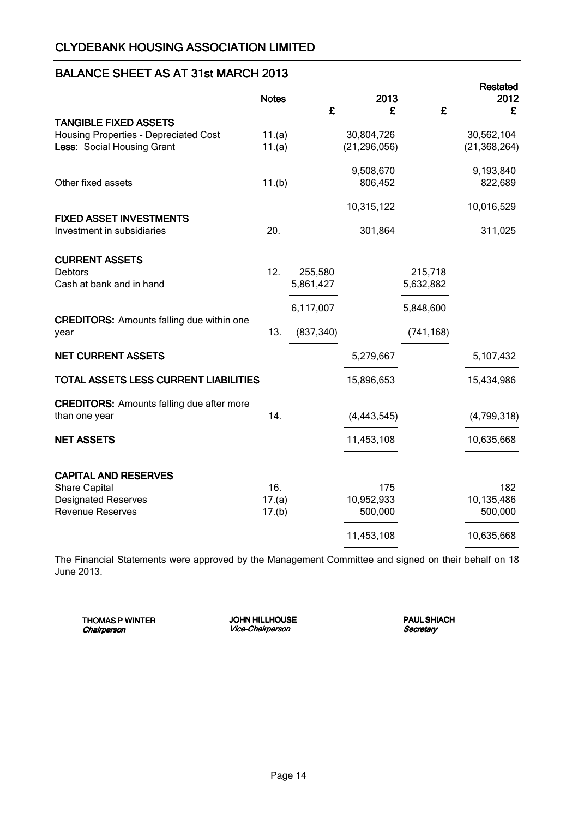# BALANCE SHEET AS AT 31st MARCH 2013

|                                                              | <b>Notes</b> | £          | 2013<br>£      | £          | <b>Restated</b><br>2012<br>£ |
|--------------------------------------------------------------|--------------|------------|----------------|------------|------------------------------|
| <b>TANGIBLE FIXED ASSETS</b>                                 |              |            |                |            |                              |
| <b>Housing Properties - Depreciated Cost</b>                 | 11.(a)       |            | 30,804,726     |            | 30,562,104                   |
| Less: Social Housing Grant                                   | 11.(a)       |            | (21, 296, 056) |            | (21, 368, 264)               |
|                                                              |              |            | 9,508,670      |            | 9,193,840                    |
| Other fixed assets                                           | 11.(b)       |            | 806,452        |            | 822,689                      |
|                                                              |              |            | 10,315,122     |            | 10,016,529                   |
| <b>FIXED ASSET INVESTMENTS</b><br>Investment in subsidiaries | 20.          |            | 301,864        |            | 311,025                      |
|                                                              |              |            |                |            |                              |
| <b>CURRENT ASSETS</b>                                        |              |            |                |            |                              |
| <b>Debtors</b>                                               | 12.          | 255,580    |                | 215,718    |                              |
| Cash at bank and in hand                                     |              | 5,861,427  |                | 5,632,882  |                              |
|                                                              |              | 6,117,007  |                | 5,848,600  |                              |
| <b>CREDITORS:</b> Amounts falling due within one             |              |            |                |            |                              |
| year                                                         | 13.          | (837, 340) |                | (741, 168) |                              |
| <b>NET CURRENT ASSETS</b>                                    |              |            | 5,279,667      |            | 5,107,432                    |
| <b>TOTAL ASSETS LESS CURRENT LIABILITIES</b>                 |              |            | 15,896,653     |            | 15,434,986                   |
| <b>CREDITORS:</b> Amounts falling due after more             |              |            |                |            |                              |
| than one year                                                | 14.          |            | (4, 443, 545)  |            | (4,799,318)                  |
| <b>NET ASSETS</b>                                            |              |            | 11,453,108     |            | 10,635,668                   |
|                                                              |              |            |                |            |                              |
| <b>CAPITAL AND RESERVES</b><br><b>Share Capital</b>          | 16.          |            | 175            |            | 182                          |
| <b>Designated Reserves</b>                                   | 17.(a)       |            | 10,952,933     |            | 10,135,486                   |
| Revenue Reserves                                             | 17.(b)       |            | 500,000        |            | 500,000                      |
|                                                              |              |            | 11,453,108     |            | 10,635,668                   |
|                                                              |              |            |                |            |                              |

The Financial Statements were approved by the Management Committee and signed on their behalf on 18 June 2013.

THOMAS P WINTER **Chairperson** 

JOHN HILLHOUSE Vice-Chairperson

**PAUL SHIACH Secretary**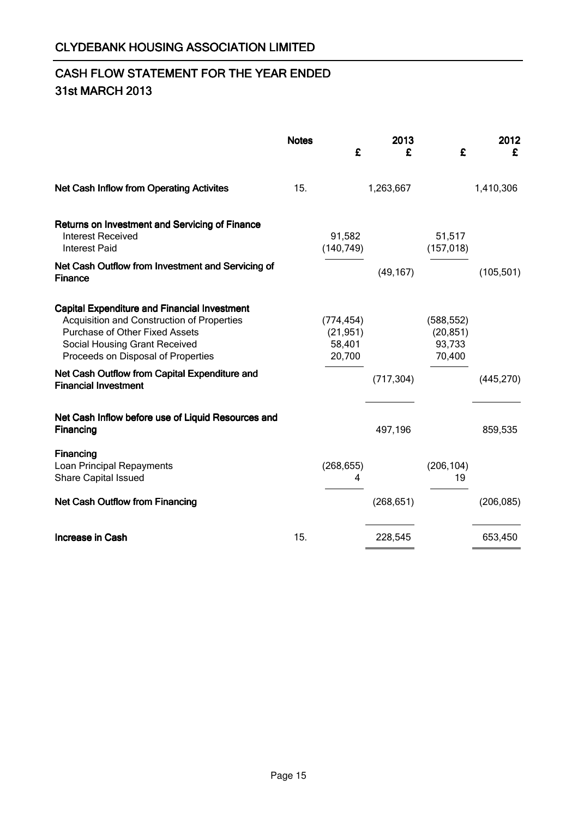# CASH FLOW STATEMENT FOR THE YEAR ENDED 31st MARCH 2013

|                                                                                                                                                                                                                                                                                            | <b>Notes</b> | £                                           | 2013<br>£  | £                                           | 2012<br>£  |
|--------------------------------------------------------------------------------------------------------------------------------------------------------------------------------------------------------------------------------------------------------------------------------------------|--------------|---------------------------------------------|------------|---------------------------------------------|------------|
| <b>Net Cash Inflow from Operating Activites</b>                                                                                                                                                                                                                                            | 15.          |                                             | 1,263,667  |                                             | 1,410,306  |
| Returns on Investment and Servicing of Finance<br><b>Interest Received</b><br><b>Interest Paid</b>                                                                                                                                                                                         |              | 91,582<br>(140, 749)                        |            | 51,517<br>(157, 018)                        |            |
| Net Cash Outflow from Investment and Servicing of<br><b>Finance</b>                                                                                                                                                                                                                        |              |                                             | (49, 167)  |                                             | (105, 501) |
| <b>Capital Expenditure and Financial Investment</b><br>Acquisition and Construction of Properties<br>Purchase of Other Fixed Assets<br>Social Housing Grant Received<br>Proceeds on Disposal of Properties<br>Net Cash Outflow from Capital Expenditure and<br><b>Financial Investment</b> |              | (774, 454)<br>(21, 951)<br>58,401<br>20,700 | (717, 304) | (588, 552)<br>(20, 851)<br>93,733<br>70,400 | (445, 270) |
| Net Cash Inflow before use of Liquid Resources and<br>Financing                                                                                                                                                                                                                            |              |                                             | 497,196    |                                             | 859,535    |
| Financing<br>Loan Principal Repayments<br><b>Share Capital Issued</b>                                                                                                                                                                                                                      |              | (268, 655)<br>4                             |            | (206, 104)<br>19                            |            |
| <b>Net Cash Outflow from Financing</b>                                                                                                                                                                                                                                                     |              |                                             | (268, 651) |                                             | (206, 085) |
| <b>Increase in Cash</b>                                                                                                                                                                                                                                                                    | 15.          |                                             | 228,545    |                                             | 653,450    |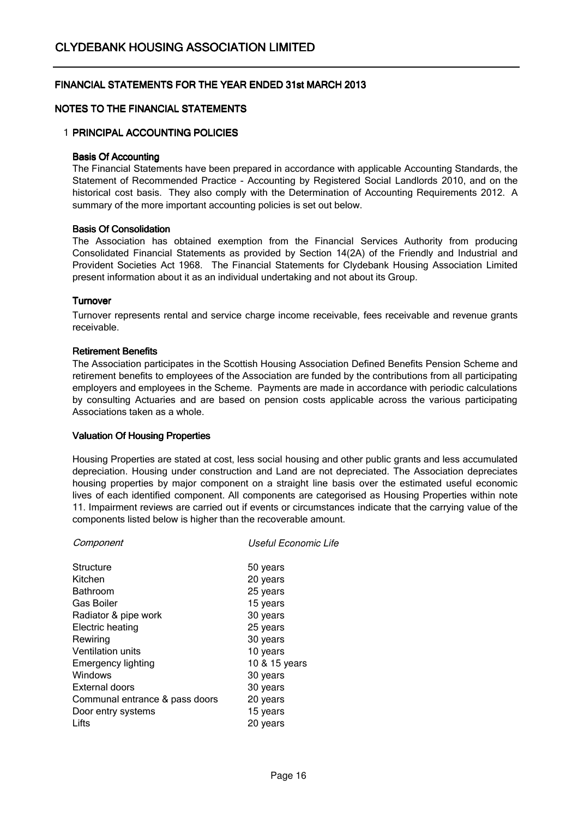## NOTES TO THE FINANCIAL STATEMENTS

## 1 PRINCIPAL ACCOUNTING POLICIES

#### Basis Of Accounting

The Financial Statements have been prepared in accordance with applicable Accounting Standards, the Statement of Recommended Practice - Accounting by Registered Social Landlords 2010, and on the historical cost basis. They also comply with the Determination of Accounting Requirements 2012. A summary of the more important accounting policies is set out below.

#### Basis Of Consolidation

The Association has obtained exemption from the Financial Services Authority from producing Consolidated Financial Statements as provided by Section 14(2A) of the Friendly and Industrial and Provident Societies Act 1968. The Financial Statements for Clydebank Housing Association Limited present information about it as an individual undertaking and not about its Group.

#### **Turnover**

Turnover represents rental and service charge income receivable, fees receivable and revenue grants receivable.

#### Retirement Benefits

The Association participates in the Scottish Housing Association Defined Benefits Pension Scheme and retirement benefits to employees of the Association are funded by the contributions from all participating employers and employees in the Scheme. Payments are made in accordance with periodic calculations by consulting Actuaries and are based on pension costs applicable across the various participating Associations taken as a whole.

## Valuation Of Housing Properties

Housing Properties are stated at cost, less social housing and other public grants and less accumulated depreciation. Housing under construction and Land are not depreciated. The Association depreciates housing properties by major component on a straight line basis over the estimated useful economic lives of each identified component. All components are categorised as Housing Properties within note 11. Impairment reviews are carried out if events or circumstances indicate that the carrying value of the components listed below is higher than the recoverable amount.

| Useful Economic Life |
|----------------------|
| 50 years             |
| 20 years             |
| 25 years             |
| 15 years             |
| 30 years             |
| 25 years             |
| 30 years             |
| 10 years             |
| 10 & 15 years        |
| 30 years             |
| 30 years             |
| 20 years             |
| 15 years             |
| 20 years             |
|                      |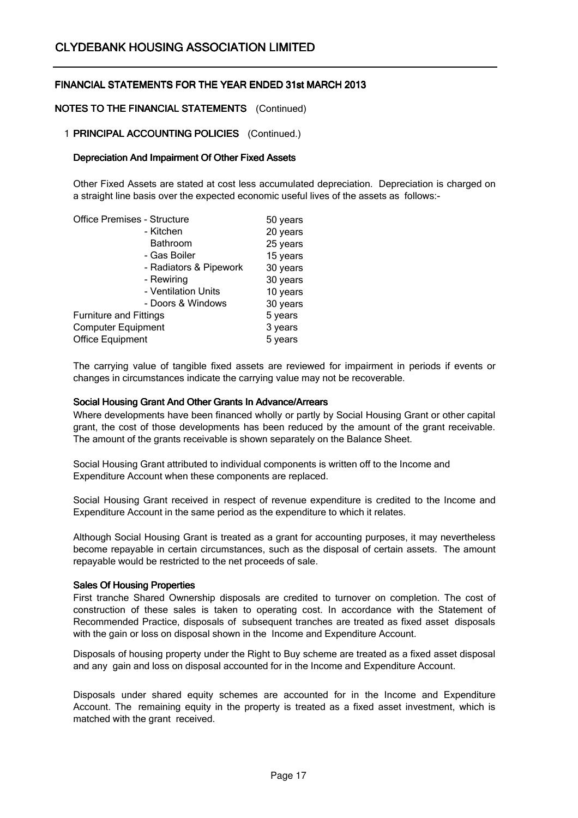### NOTES TO THE FINANCIAL STATEMENTS (Continued)

#### 1 **PRINCIPAL ACCOUNTING POLICIES** (Continued.)

#### Depreciation And Impairment Of Other Fixed Assets

Other Fixed Assets are stated at cost less accumulated depreciation. Depreciation is charged on a straight line basis over the expected economic useful lives of the assets as follows:-

| 50 years |
|----------|
| 20 years |
| 25 years |
| 15 years |
| 30 years |
| 30 years |
| 10 years |
| 30 years |
| 5 years  |
| 3 years  |
| 5 years  |
|          |

The carrying value of tangible fixed assets are reviewed for impairment in periods if events or changes in circumstances indicate the carrying value may not be recoverable.

#### Social Housing Grant And Other Grants In Advance/Arrears

Where developments have been financed wholly or partly by Social Housing Grant or other capital grant, the cost of those developments has been reduced by the amount of the grant receivable. The amount of the grants receivable is shown separately on the Balance Sheet.

Social Housing Grant attributed to individual components is written off to the Income and Expenditure Account when these components are replaced.

Social Housing Grant received in respect of revenue expenditure is credited to the Income and Expenditure Account in the same period as the expenditure to which it relates.

Although Social Housing Grant is treated as a grant for accounting purposes, it may nevertheless become repayable in certain circumstances, such as the disposal of certain assets. The amount repayable would be restricted to the net proceeds of sale.

#### Sales Of Housing Properties

First tranche Shared Ownership disposals are credited to turnover on completion. The cost of construction of these sales is taken to operating cost. In accordance with the Statement of Recommended Practice, disposals of subsequent tranches are treated as fixed asset disposals with the gain or loss on disposal shown in the Income and Expenditure Account.

Disposals of housing property under the Right to Buy scheme are treated as a fixed asset disposal and any gain and loss on disposal accounted for in the Income and Expenditure Account.

Disposals under shared equity schemes are accounted for in the Income and Expenditure Account. The remaining equity in the property is treated as a fixed asset investment, which is matched with the grant received.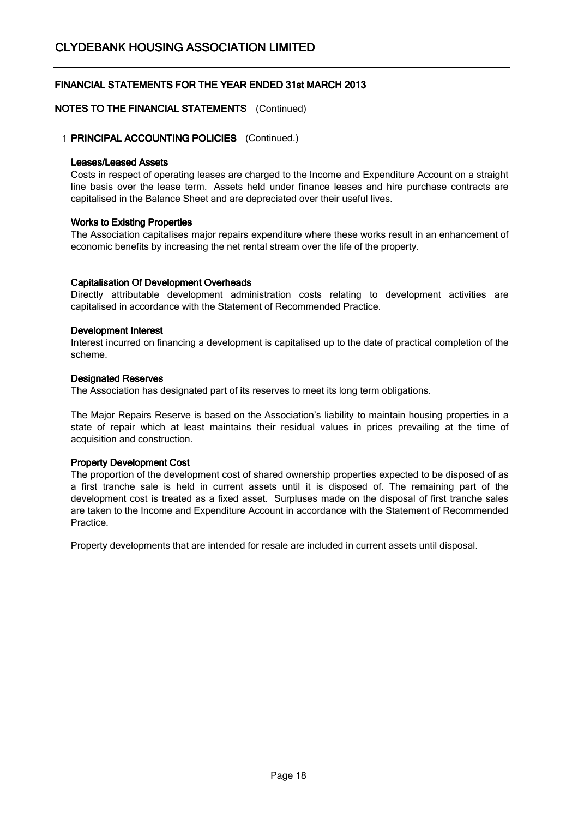## NOTES TO THE FINANCIAL STATEMENTS (Continued)

### 1 PRINCIPAL ACCOUNTING POLICIES (Continued.)

#### Leases/Leased Assets

Costs in respect of operating leases are charged to the Income and Expenditure Account on a straight line basis over the lease term. Assets held under finance leases and hire purchase contracts are capitalised in the Balance Sheet and are depreciated over their useful lives.

#### Works to Existing Properties

The Association capitalises major repairs expenditure where these works result in an enhancement of economic benefits by increasing the net rental stream over the life of the property.

#### Capitalisation Of Development Overheads

Directly attributable development administration costs relating to development activities are capitalised in accordance with the Statement of Recommended Practice.

#### Development Interest

Interest incurred on financing a development is capitalised up to the date of practical completion of the scheme.

#### Designated Reserves

The Association has designated part of its reserves to meet its long term obligations.

The Major Repairs Reserve is based on the Association's liability to maintain housing properties in a state of repair which at least maintains their residual values in prices prevailing at the time of acquisition and construction.

## Property Development Cost

The proportion of the development cost of shared ownership properties expected to be disposed of as a first tranche sale is held in current assets until it is disposed of. The remaining part of the development cost is treated as a fixed asset. Surpluses made on the disposal of first tranche sales are taken to the Income and Expenditure Account in accordance with the Statement of Recommended Practice.

Property developments that are intended for resale are included in current assets until disposal.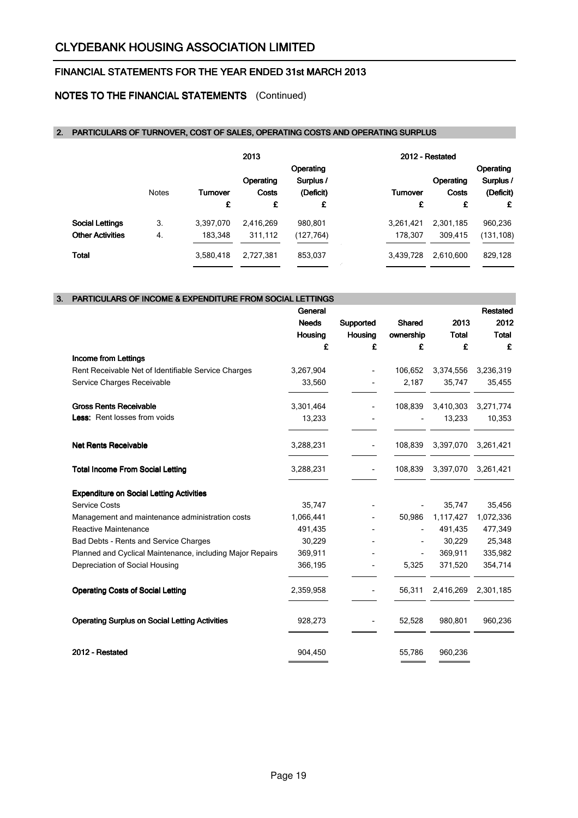# NOTES TO THE FINANCIAL STATEMENTS (Continued)

## 2. PARTICULARS OF TURNOVER, COST OF SALES, OPERATING COSTS AND OPERATING SURPLUS

|                         |              |           | 2013      |           |                 | 2012 - Restated  |            |
|-------------------------|--------------|-----------|-----------|-----------|-----------------|------------------|------------|
|                         |              |           |           | Operating |                 |                  | Operating  |
|                         |              |           | Operating | Surplus / |                 | <b>Operating</b> | Surplus /  |
|                         | <b>Notes</b> | Turnover  | Costs     | (Deficit) | <b>Turnover</b> | Costs            | (Deficit)  |
|                         |              | £         | £         | £         | £               | £                | £          |
| <b>Social Lettings</b>  | 3.           | 3,397,070 | 2,416,269 | 980,801   | 3,261,421       | 2,301,185        | 960,236    |
| <b>Other Activities</b> | 4.           | 183.348   | 311,112   | (127,764) | 178.307         | 309.415          | (131, 108) |
| Total                   |              | 3,580,418 | 2,727,381 | 853,037   | 3,439,728       | 2.610.600        | 829,128    |

| 3. | <b>PARTICULARS OF INCOME &amp; EXPENDITURE FROM SOCIAL LETTINGS</b> |              |                          |               |              |                 |
|----|---------------------------------------------------------------------|--------------|--------------------------|---------------|--------------|-----------------|
|    |                                                                     | General      |                          |               |              | <b>Restated</b> |
|    |                                                                     | <b>Needs</b> | Supported                | <b>Shared</b> | 2013         | 2012            |
|    |                                                                     | Housing      | <b>Housing</b>           | ownership     | <b>Total</b> | <b>Total</b>    |
|    |                                                                     | £            | £                        | £             | £            | £               |
|    | Income from Lettings                                                |              |                          |               |              |                 |
|    | Rent Receivable Net of Identifiable Service Charges                 | 3,267,904    |                          | 106,652       | 3,374,556    | 3,236,319       |
|    | Service Charges Receivable                                          | 33,560       |                          | 2,187         | 35,747       | 35,455          |
|    | <b>Gross Rents Receivable</b>                                       | 3,301,464    | $\overline{\phantom{a}}$ | 108,839       | 3,410,303    | 3,271,774       |
|    | <b>Less:</b> Rent losses from voids                                 | 13,233       |                          |               | 13,233       | 10,353          |
|    | <b>Net Rents Receivable</b>                                         | 3,288,231    | $\overline{\phantom{a}}$ | 108,839       | 3,397,070    | 3,261,421       |
|    | <b>Total Income From Social Letting</b>                             | 3,288,231    | $\overline{\phantom{0}}$ | 108,839       | 3,397,070    | 3,261,421       |
|    | <b>Expenditure on Social Letting Activities</b>                     |              |                          |               |              |                 |
|    | <b>Service Costs</b>                                                | 35,747       |                          |               | 35,747       | 35,456          |
|    | Management and maintenance administration costs                     | 1,066,441    |                          | 50,986        | 1,117,427    | 1,072,336       |
|    | <b>Reactive Maintenance</b>                                         | 491,435      |                          |               | 491,435      | 477,349         |
|    | Bad Debts - Rents and Service Charges                               | 30,229       |                          |               | 30,229       | 25,348          |
|    | Planned and Cyclical Maintenance, including Major Repairs           | 369,911      |                          |               | 369,911      | 335,982         |
|    | Depreciation of Social Housing                                      | 366,195      |                          | 5,325         | 371,520      | 354,714         |
|    | <b>Operating Costs of Social Letting</b>                            | 2,359,958    |                          | 56,311        | 2,416,269    | 2,301,185       |
|    | <b>Operating Surplus on Social Letting Activities</b>               | 928,273      | -                        | 52,528        | 980,801      | 960,236         |
|    | 2012 - Restated                                                     | 904,450      |                          | 55,786        | 960,236      |                 |
|    |                                                                     |              |                          |               |              |                 |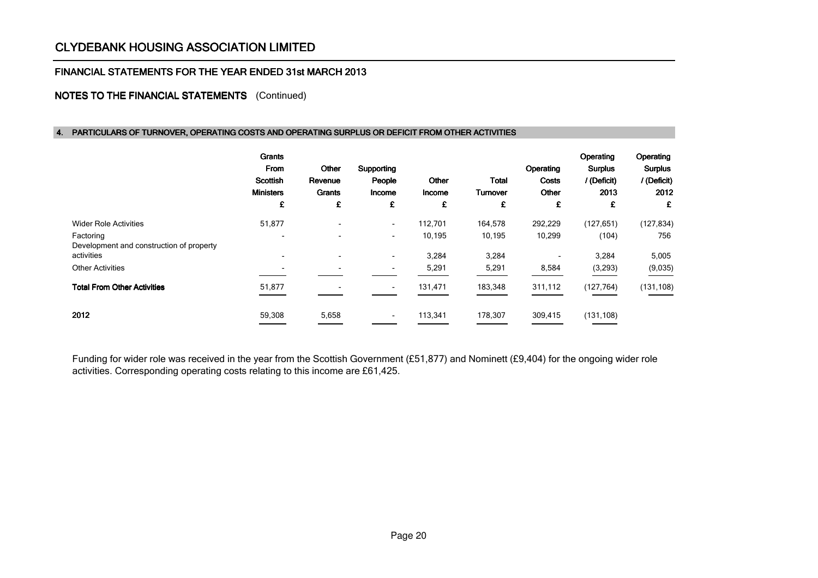#### FINANCIAL STATEMENTS FOR THE YEAR ENDED 31st MARCH 2013

## NOTES TO THE FINANCIAL STATEMENTS (Continued)

#### 4. PARTICULARS OF TURNOVER, OPERATING COSTS AND OPERATING SURPLUS OR DEFICIT FROM OTHER ACTIVITIES

|                                                       | <b>Grants</b><br>From<br><b>Scottish</b><br><b>Ministers</b><br>£ | Other<br>Revenue<br>Grants<br>£ | Supporting<br>People<br>Income<br>£ | Other<br>Income<br>£ | <b>Total</b><br><b>Turnover</b><br>£ | Operating<br>Costs<br>Other<br>£ | Operating<br><b>Surplus</b><br>/ (Deficit)<br>2013<br>£ | Operating<br><b>Surplus</b><br>/ (Deficit)<br>2012<br>£ |
|-------------------------------------------------------|-------------------------------------------------------------------|---------------------------------|-------------------------------------|----------------------|--------------------------------------|----------------------------------|---------------------------------------------------------|---------------------------------------------------------|
| <b>Wider Role Activities</b>                          | 51,877                                                            | $\overline{\phantom{0}}$        | $\sim$                              | 112,701              | 164,578                              | 292,229                          | (127, 651)                                              | (127, 834)                                              |
| Factoring<br>Development and construction of property | $\overline{\phantom{0}}$                                          |                                 | $\overline{\phantom{a}}$            | 10,195               | 10,195                               | 10,299                           | (104)                                                   | 756                                                     |
| activities                                            |                                                                   | $\overline{\phantom{0}}$        | $\overline{\phantom{0}}$            | 3,284                | 3,284                                |                                  | 3,284                                                   | 5,005                                                   |
| <b>Other Activities</b>                               | $\overline{\phantom{a}}$                                          |                                 |                                     | 5,291                | 5,291                                | 8,584                            | (3, 293)                                                | (9,035)                                                 |
| <b>Total From Other Activities</b>                    | 51,877                                                            |                                 |                                     | 131,471              | 183,348                              | 311,112                          | (127, 764)                                              | (131, 108)                                              |
| 2012                                                  | 59,308                                                            | 5,658                           |                                     | 113,341              | 178,307                              | 309,415                          | (131, 108)                                              |                                                         |

Funding for wider role was received in the year from the Scottish Government (£51,877) and Nominett (£9,404) for the ongoing wider role activities. Corresponding operating costs relating to this income are £61,425.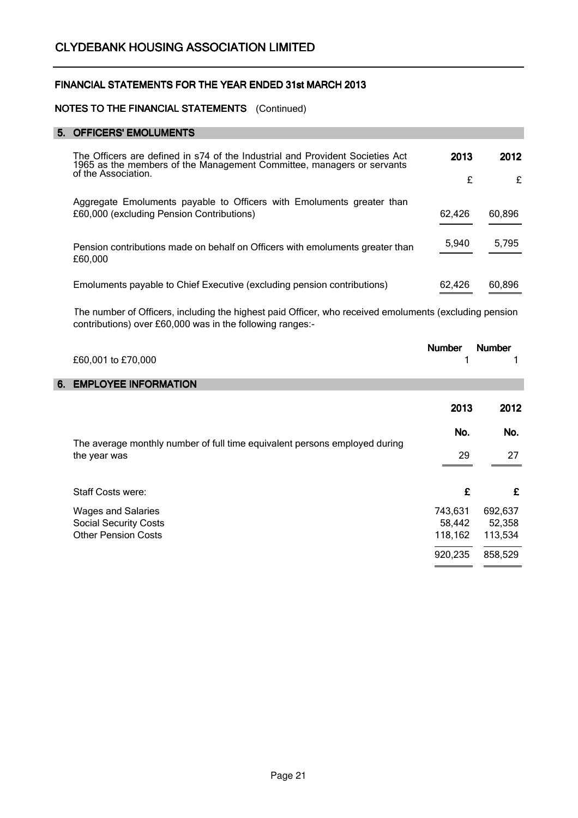## NOTES TO THE FINANCIAL STATEMENTS (Continued)

## 5. OFFICERS' EMOLUMENTS

| The Officers are defined in s74 of the Industrial and Provident Societies Act<br>1965 as the members of the Management Committee, managers or servants | 2013   | 2012   |
|--------------------------------------------------------------------------------------------------------------------------------------------------------|--------|--------|
| of the Association.                                                                                                                                    | £      | £      |
| Aggregate Emoluments payable to Officers with Emoluments greater than<br>£60,000 (excluding Pension Contributions)                                     | 62,426 | 60,896 |
|                                                                                                                                                        |        |        |
| Pension contributions made on behalf on Officers with emoluments greater than<br>£60,000                                                               | 5,940  | 5,795  |
| Emoluments payable to Chief Executive (excluding pension contributions)                                                                                | 62,426 | 60,896 |

The number of Officers, including the highest paid Officer, who received emoluments (excluding pension contributions) over £60,000 was in the following ranges:-

|    | £60,001 to £70,000                                                                         | <b>Number</b> | <b>Number</b> |
|----|--------------------------------------------------------------------------------------------|---------------|---------------|
| 6. | <b>EMPLOYEE INFORMATION</b>                                                                |               |               |
|    |                                                                                            | 2013          | 2012          |
|    |                                                                                            | No.           | No.           |
|    | The average monthly number of full time equivalent persons employed during<br>the year was | 29            | 27            |
|    | Staff Costs were:                                                                          | £             | £             |
|    | <b>Wages and Salaries</b>                                                                  | 743,631       | 692,637       |
|    | <b>Social Security Costs</b>                                                               | 58,442        | 52,358        |
|    | <b>Other Pension Costs</b>                                                                 | 118,162       | 113,534       |
|    |                                                                                            | 920,235       | 858,529       |
|    |                                                                                            |               |               |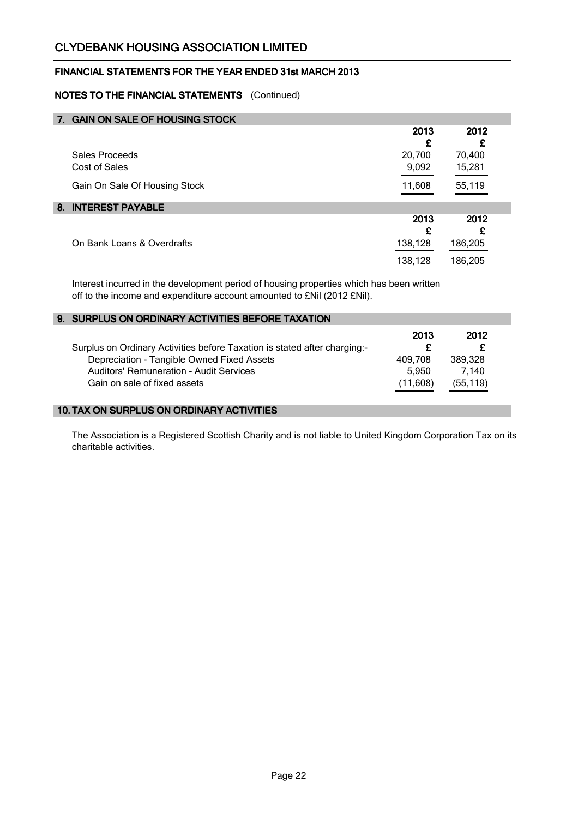# NOTES TO THE FINANCIAL STATEMENTS (Continued)

| 7. GAIN ON SALE OF HOUSING STOCK |         |         |
|----------------------------------|---------|---------|
|                                  | 2013    | 2012    |
|                                  | £       | £       |
| Sales Proceeds                   | 20,700  | 70,400  |
| Cost of Sales                    | 9,092   | 15,281  |
| Gain On Sale Of Housing Stock    | 11,608  | 55,119  |
| 8. INTEREST PAYABLE              |         |         |
|                                  | 2013    | 2012    |
|                                  | £       | £       |
| On Bank Loans & Overdrafts       | 138,128 | 186,205 |
|                                  | 138,128 | 186,205 |

Interest incurred in the development period of housing properties which has been written off to the income and expenditure account amounted to £Nil (2012 £Nil).

| 9. SURPLUS ON ORDINARY ACTIVITIES BEFORE TAXATION                                                                            |                              |                               |
|------------------------------------------------------------------------------------------------------------------------------|------------------------------|-------------------------------|
| Surplus on Ordinary Activities before Taxation is stated after charging:-                                                    | 2013                         | 2012                          |
| Depreciation - Tangible Owned Fixed Assets<br><b>Auditors' Remuneration - Audit Services</b><br>Gain on sale of fixed assets | 409.708<br>5.950<br>(11,608) | 389.328<br>7.140<br>(55, 119) |

## 10. TAX ON SURPLUS ON ORDINARY ACTIVITIES

The Association is a Registered Scottish Charity and is not liable to United Kingdom Corporation Tax on its charitable activities.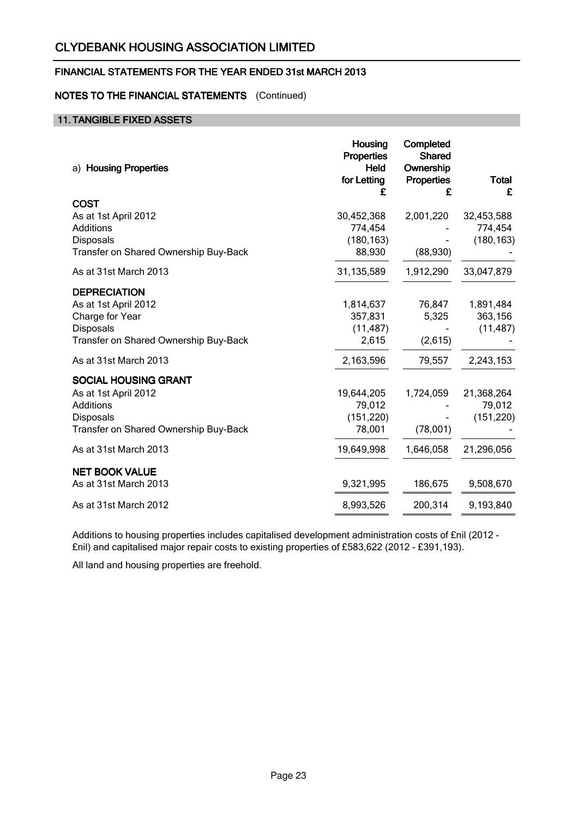# FINANCIAL STATEMENTS FOR THE YEAR ENDED 31st MARCH 2013

## NOTES TO THE FINANCIAL STATEMENTS (Continued)

## 11. TANGIBLE FIXED ASSETS

| a) Housing Properties                              | <b>Housing</b><br><b>Properties</b><br>Held<br>for Letting | Completed<br><b>Shared</b><br>Ownership<br><b>Properties</b> | <b>Total</b> |
|----------------------------------------------------|------------------------------------------------------------|--------------------------------------------------------------|--------------|
| <b>COST</b>                                        | £                                                          | £                                                            | £            |
| As at 1st April 2012                               | 30,452,368                                                 | 2,001,220                                                    | 32,453,588   |
| Additions                                          | 774,454                                                    |                                                              | 774,454      |
| Disposals<br>Transfer on Shared Ownership Buy-Back | (180, 163)<br>88,930                                       | (88,930)                                                     | (180, 163)   |
| As at 31st March 2013                              | 31,135,589                                                 | 1,912,290                                                    | 33,047,879   |
| <b>DEPRECIATION</b>                                |                                                            |                                                              |              |
| As at 1st April 2012                               | 1,814,637                                                  | 76,847                                                       | 1,891,484    |
| Charge for Year                                    | 357,831                                                    | 5,325                                                        | 363,156      |
| <b>Disposals</b>                                   | (11, 487)                                                  |                                                              | (11, 487)    |
| Transfer on Shared Ownership Buy-Back              | 2,615                                                      | (2,615)                                                      |              |
| As at 31st March 2013                              | 2,163,596                                                  | 79,557                                                       | 2,243,153    |
| <b>SOCIAL HOUSING GRANT</b>                        |                                                            |                                                              |              |
| As at 1st April 2012                               | 19,644,205                                                 | 1,724,059                                                    | 21,368,264   |
| <b>Additions</b>                                   | 79,012                                                     |                                                              | 79,012       |
| Disposals                                          | (151, 220)                                                 |                                                              | (151, 220)   |
| Transfer on Shared Ownership Buy-Back              | 78,001                                                     | (78,001)                                                     |              |
| As at 31st March 2013                              | 19,649,998                                                 | 1,646,058                                                    | 21,296,056   |
| <b>NET BOOK VALUE</b>                              |                                                            |                                                              |              |
| As at 31st March 2013                              | 9,321,995                                                  | 186,675                                                      | 9,508,670    |
| As at 31st March 2012                              | 8,993,526                                                  | 200,314                                                      | 9,193,840    |

Additions to housing properties includes capitalised development administration costs of £nil (2012 - £nil) and capitalised major repair costs to existing properties of £583,622 (2012 - £391,193).

All land and housing properties are freehold.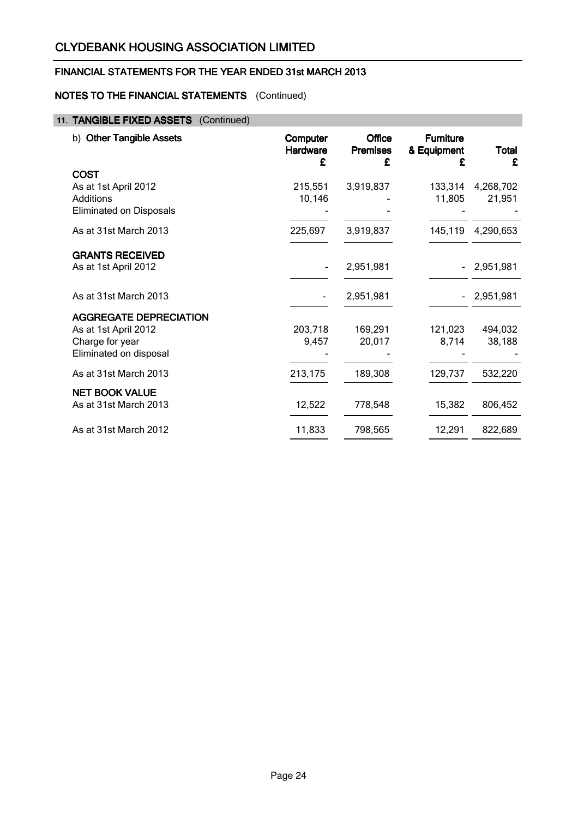# FINANCIAL STATEMENTS FOR THE YEAR ENDED 31st MARCH 2013

# NOTES TO THE FINANCIAL STATEMENTS (Continued)

# 11. TANGIBLE FIXED ASSETS (Continued)

| <b>Other Tangible Assets</b><br>b)                                                                 | Computer<br>Hardware<br>£ | <b>Office</b><br><b>Premises</b><br>£ | <b>Furniture</b><br>& Equipment<br>£ | Total<br>£          |
|----------------------------------------------------------------------------------------------------|---------------------------|---------------------------------------|--------------------------------------|---------------------|
| <b>COST</b><br>As at 1st April 2012<br>Additions<br><b>Eliminated on Disposals</b>                 | 215,551<br>10,146         | 3,919,837                             | 133,314<br>11,805                    | 4,268,702<br>21,951 |
| As at 31st March 2013                                                                              | 225,697                   | 3,919,837                             | 145,119                              | 4,290,653           |
| <b>GRANTS RECEIVED</b><br>As at 1st April 2012                                                     |                           | 2,951,981                             |                                      | 2,951,981           |
| As at 31st March 2013                                                                              |                           | 2,951,981                             |                                      | $-2,951,981$        |
| <b>AGGREGATE DEPRECIATION</b><br>As at 1st April 2012<br>Charge for year<br>Eliminated on disposal | 203,718<br>9,457          | 169,291<br>20,017                     | 121,023<br>8,714                     | 494,032<br>38,188   |
| As at 31st March 2013                                                                              | 213,175                   | 189,308                               | 129,737                              | 532,220             |
| <b>NET BOOK VALUE</b><br>As at 31st March 2013                                                     | 12,522                    | 778,548                               | 15,382                               | 806,452             |
| As at 31st March 2012                                                                              | 11,833                    | 798,565                               | 12,291                               | 822,689             |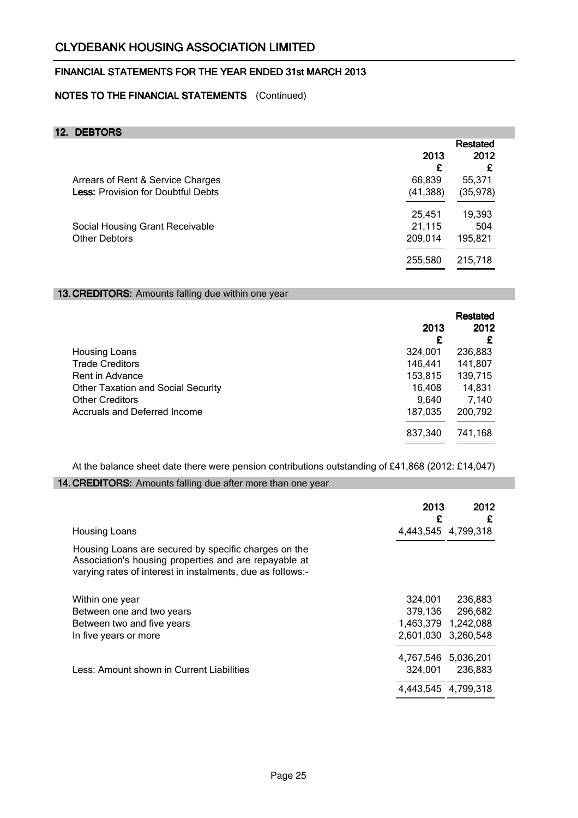# NOTES TO THE FINANCIAL STATEMENTS (Continued)

# 12. DEBTORS

| <b>Restated</b> |          |
|-----------------|----------|
| 2013            | 2012     |
| £               | £        |
| 66,839          | 55,371   |
| (41, 388)       | (35,978) |
| 25,451          | 19,393   |
| 21,115          | 504      |
| 209,014         | 195,821  |
| 255,580         | 215,718  |
|                 |          |

### 13. CREDITORS: Amounts falling due within one year

|                                           | 2013<br>£ | Restated<br>2012<br>£ |
|-------------------------------------------|-----------|-----------------------|
| Housing Loans                             | 324,001   | 236,883               |
| <b>Trade Creditors</b>                    | 146,441   | 141,807               |
| Rent in Advance                           | 153,815   | 139,715               |
| <b>Other Taxation and Social Security</b> | 16,408    | 14,831                |
| <b>Other Creditors</b>                    | 9,640     | 7,140                 |
| Accruals and Deferred Income              | 187,035   | 200,792               |
|                                           |           |                       |
|                                           | 837,340   | 741,168               |
|                                           |           |                       |

At the balance sheet date there were pension contributions outstanding of £41,868 (2012: £14,047)

### 14. CREDITORS: Amounts falling due after more than one year

|                                                                                                                                                                             | 2013<br>£           | 2012<br>£ |
|-----------------------------------------------------------------------------------------------------------------------------------------------------------------------------|---------------------|-----------|
| <b>Housing Loans</b>                                                                                                                                                        | 4,443,545 4,799,318 |           |
| Housing Loans are secured by specific charges on the<br>Association's housing properties and are repayable at<br>varying rates of interest in instalments, due as follows:- |                     |           |
| Within one year                                                                                                                                                             | 324.001             | 236.883   |
| Between one and two years                                                                                                                                                   | 379,136             | 296,682   |
| Between two and five years                                                                                                                                                  | 1,463,379 1,242,088 |           |
| In five years or more                                                                                                                                                       | 2,601,030 3,260,548 |           |
|                                                                                                                                                                             | 4,767,546 5,036,201 |           |
| Less: Amount shown in Current Liabilities                                                                                                                                   | 324,001             | 236,883   |
|                                                                                                                                                                             | 4,443,545 4,799,318 |           |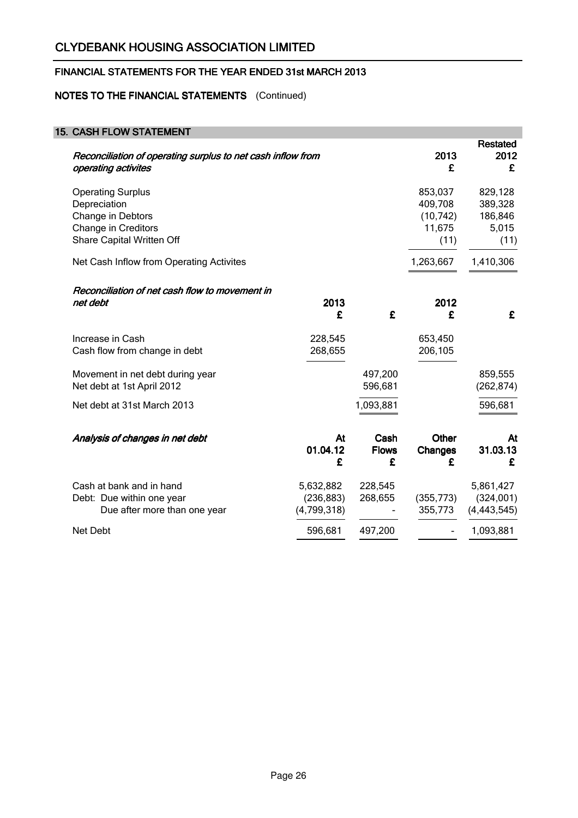# NOTES TO THE FINANCIAL STATEMENTS (Continued)

| <b>15. CASH FLOW STATEMENT</b>                                                                                    |                                        |                           |                                                   |                                                |
|-------------------------------------------------------------------------------------------------------------------|----------------------------------------|---------------------------|---------------------------------------------------|------------------------------------------------|
| Reconciliation of operating surplus to net cash inflow from<br>operating activites                                |                                        |                           | 2013<br>£                                         | <b>Restated</b><br>2012<br>£                   |
| <b>Operating Surplus</b><br>Depreciation<br>Change in Debtors<br>Change in Creditors<br>Share Capital Written Off |                                        |                           | 853,037<br>409,708<br>(10, 742)<br>11,675<br>(11) | 829,128<br>389,328<br>186,846<br>5,015<br>(11) |
| Net Cash Inflow from Operating Activites                                                                          |                                        |                           | 1,263,667                                         | 1,410,306                                      |
| Reconciliation of net cash flow to movement in<br>net debt                                                        | 2013<br>£                              | £                         | 2012<br>£                                         | £                                              |
| Increase in Cash<br>Cash flow from change in debt                                                                 | 228,545<br>268,655                     |                           | 653,450<br>206,105                                |                                                |
| Movement in net debt during year<br>Net debt at 1st April 2012                                                    |                                        | 497,200<br>596,681        |                                                   | 859,555<br>(262, 874)                          |
| Net debt at 31st March 2013                                                                                       |                                        | 1,093,881                 |                                                   | 596,681                                        |
| Analysis of changes in net debt                                                                                   | At<br>01.04.12<br>£                    | Cash<br><b>Flows</b><br>£ | <b>Other</b><br><b>Changes</b><br>£               | At<br>31.03.13<br>£                            |
| Cash at bank and in hand<br>Debt: Due within one year<br>Due after more than one year                             | 5,632,882<br>(236, 883)<br>(4,799,318) | 228,545<br>268,655        | (355, 773)<br>355,773                             | 5,861,427<br>(324,001)<br>(4, 443, 545)        |
| Net Debt                                                                                                          | 596,681                                | 497,200                   |                                                   | 1,093,881                                      |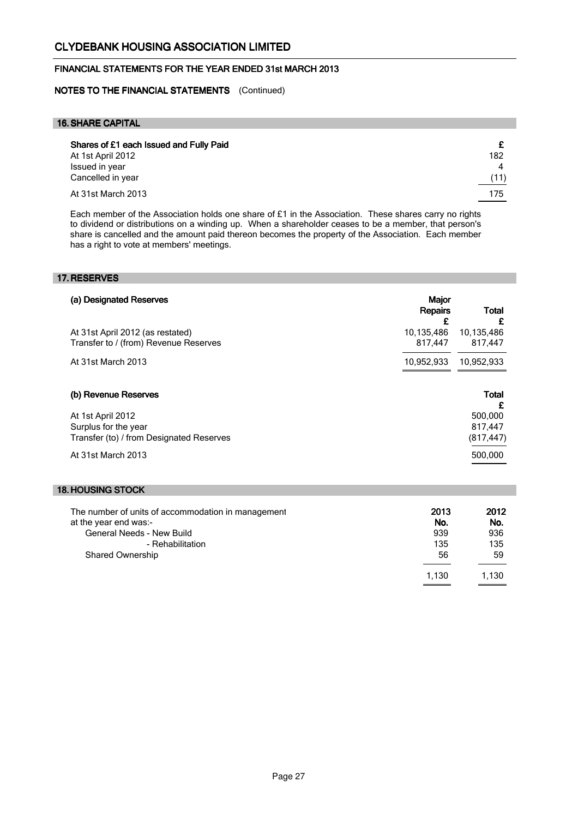## FINANCIAL STATEMENTS FOR THE YEAR ENDED 31st MARCH 2013

NOTES TO THE FINANCIAL STATEMENTS (Continued)

### 16.SHARE CAPITAL

| Shares of £1 each Issued and Fully Paid<br>At 1st April 2012 | 182       |
|--------------------------------------------------------------|-----------|
| Issued in year<br>Cancelled in year                          | 4<br>(11) |
| At 31st March 2013                                           | 175       |

Each member of the Association holds one share of £1 in the Association. These shares carry no rights to dividend or distributions on a winding up. When a shareholder ceases to be a member, that person's share is cancelled and the amount paid thereon becomes the property of the Association. Each member has a right to vote at members' meetings.

#### 17. RESERVES

| (a) Designated Reserves                                                   | <b>Major</b><br><b>Repairs</b><br>£ | Total<br>£            |
|---------------------------------------------------------------------------|-------------------------------------|-----------------------|
| At 31st April 2012 (as restated)<br>Transfer to / (from) Revenue Reserves | 10,135,486<br>817.447               | 10,135,486<br>817,447 |
| At 31st March 2013                                                        | 10,952,933                          | 10,952,933            |
| (b) Revenue Reserves                                                      |                                     | Total<br>£            |
| At 1st April 2012                                                         |                                     | 500.000               |
| Surplus for the year                                                      |                                     | 817.447               |
| Transfer (to) / from Designated Reserves                                  |                                     | (817, 447)            |
| At 31st March 2013                                                        |                                     | 500,000               |

## 18. HOUSING STOCK

| The number of units of accommodation in management | 2013  | 2012  |
|----------------------------------------------------|-------|-------|
| at the year end was:-                              | No.   | No.   |
| General Needs - New Build                          | 939   | 936   |
| - Rehabilitation                                   | 135   | 135   |
| <b>Shared Ownership</b>                            | 56    | 59    |
|                                                    | 1.130 | 1.130 |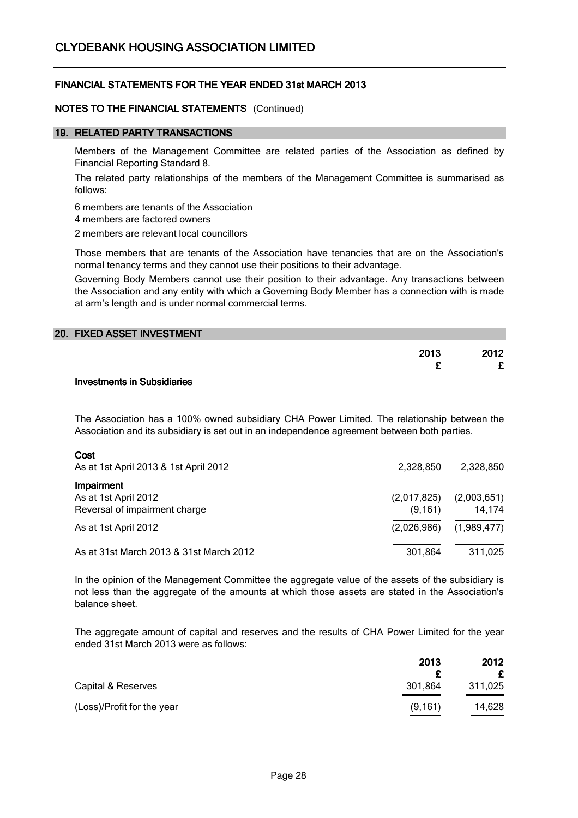### NOTES TO THE FINANCIAL STATEMENTS (Continued)

### 19. RELATED PARTY TRANSACTIONS

Members of the Management Committee are related parties of the Association as defined by Financial Reporting Standard 8.

The related party relationships of the members of the Management Committee is summarised as follows:

6 members are tenants of the Association

4 members are factored owners

2 members are relevant local councillors

Those members that are tenants of the Association have tenancies that are on the Association's normal tenancy terms and they cannot use their positions to their advantage.

Governing Body Members cannot use their position to their advantage. Any transactions between the Association and any entity with which a Governing Body Member has a connection with is made at arm's length and is under normal commercial terms.

| 20. FIXED ASSET INVESTMENT |      |
|----------------------------|------|
| 2013                       | 2012 |
|                            |      |

#### Investments in Subsidiaries

The Association has a 100% owned subsidiary CHA Power Limited. The relationship between the Association and its subsidiary is set out in an independence agreement between both parties.

#### Cost

| As at 1st April 2013 & 1st April 2012                               | 2,328,850              | 2,328,850             |
|---------------------------------------------------------------------|------------------------|-----------------------|
| Impairment<br>As at 1st April 2012<br>Reversal of impairment charge | (2,017,825)<br>(9.161) | (2,003,651)<br>14,174 |
| As at 1st April 2012                                                | (2.026.986)            | (1,989,477)           |
| As at 31st March 2013 & 31st March 2012                             | 301,864                | 311,025               |

In the opinion of the Management Committee the aggregate value of the assets of the subsidiary is not less than the aggregate of the amounts at which those assets are stated in the Association's balance sheet.

The aggregate amount of capital and reserves and the results of CHA Power Limited for the year ended 31st March 2013 were as follows:

|                            | 2013     | 2012              |
|----------------------------|----------|-------------------|
|                            |          | £                 |
| Capital & Reserves         | 301,864  | 311,025           |
| (Loss)/Profit for the year | (9, 161) | 14,628<br>_______ |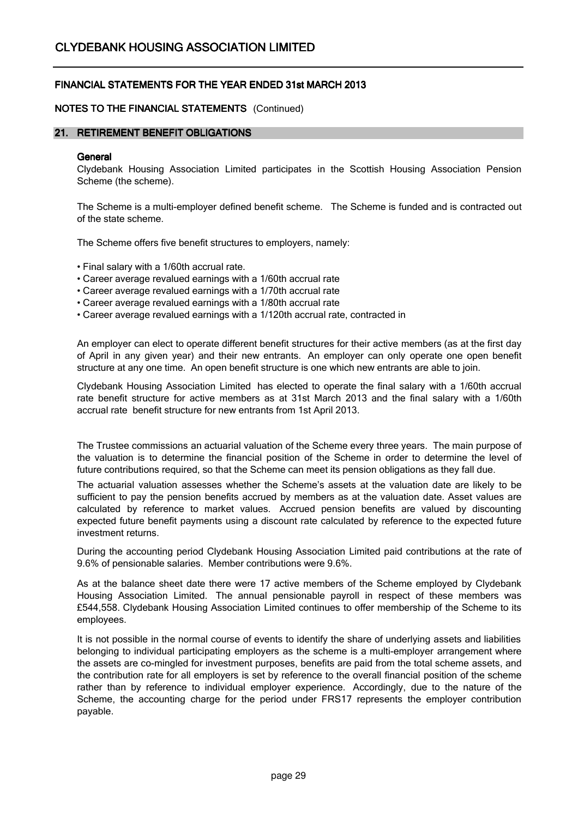## NOTES TO THE FINANCIAL STATEMENTS (Continued)

### 21. RETIREMENT BENEFIT OBLIGATIONS

#### **General**

Clydebank Housing Association Limited participates in the Scottish Housing Association Pension Scheme (the scheme).

The Scheme is a multi-employer defined benefit scheme. The Scheme is funded and is contracted out of the state scheme.

The Scheme offers five benefit structures to employers, namely:

• Final salary with a 1/60th accrual rate.

- Career average revalued earnings with a 1/60th accrual rate
- Career average revalued earnings with a 1/70th accrual rate
- Career average revalued earnings with a 1/80th accrual rate
- Career average revalued earnings with a 1/120th accrual rate, contracted in

An employer can elect to operate different benefit structures for their active members (as at the first day of April in any given year) and their new entrants. An employer can only operate one open benefit structure at any one time. An open benefit structure is one which new entrants are able to join.

Clydebank Housing Association Limited has elected to operate the final salary with a 1/60th accrual rate benefit structure for active members as at 31st March 2013 and the final salary with a 1/60th accrual rate benefit structure for new entrants from 1st April 2013.

The Trustee commissions an actuarial valuation of the Scheme every three years. The main purpose of the valuation is to determine the financial position of the Scheme in order to determine the level of future contributions required, so that the Scheme can meet its pension obligations as they fall due.

The actuarial valuation assesses whether the Scheme's assets at the valuation date are likely to be sufficient to pay the pension benefits accrued by members as at the valuation date. Asset values are calculated by reference to market values. Accrued pension benefits are valued by discounting expected future benefit payments using a discount rate calculated by reference to the expected future investment returns.

During the accounting period Clydebank Housing Association Limited paid contributions at the rate of 9.6% of pensionable salaries. Member contributions were 9.6%.

As at the balance sheet date there were 17 active members of the Scheme employed by Clydebank Housing Association Limited. The annual pensionable payroll in respect of these members was £544,558. Clydebank Housing Association Limited continues to offer membership of the Scheme to its employees.

It is not possible in the normal course of events to identify the share of underlying assets and liabilities belonging to individual participating employers as the scheme is a multi-employer arrangement where the assets are co-mingled for investment purposes, benefits are paid from the total scheme assets, and the contribution rate for all employers is set by reference to the overall financial position of the scheme rather than by reference to individual employer experience. Accordingly, due to the nature of the Scheme, the accounting charge for the period under FRS17 represents the employer contribution payable.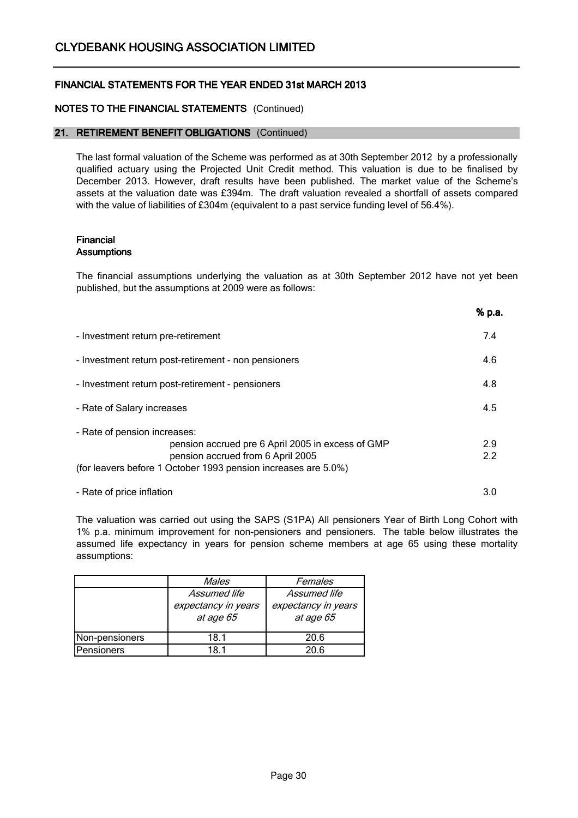## NOTES TO THE FINANCIAL STATEMENTS (Continued)

### 21. RETIREMENT BENEFIT OBLIGATIONS (Continued)

The last formal valuation of the Scheme was performed as at 30th September 2012 by a professionally qualified actuary using the Projected Unit Credit method. This valuation is due to be finalised by December 2013. However, draft results have been published. The market value of the Scheme's assets at the valuation date was £394m. The draft valuation revealed a shortfall of assets compared with the value of liabilities of £304m (equivalent to a past service funding level of 56.4%).

#### Financial **Assumptions**

The financial assumptions underlying the valuation as at 30th September 2012 have not yet been published, but the assumptions at 2009 were as follows:

 $\sim$   $\sim$ 

|                                                                                                                                                                                          | 70 p.a.    |
|------------------------------------------------------------------------------------------------------------------------------------------------------------------------------------------|------------|
| - Investment return pre-retirement                                                                                                                                                       | 7.4        |
| - Investment return post-retirement - non pensioners                                                                                                                                     | 4.6        |
| - Investment return post-retirement - pensioners                                                                                                                                         | 4.8        |
| - Rate of Salary increases                                                                                                                                                               | 4.5        |
| - Rate of pension increases:<br>pension accrued pre 6 April 2005 in excess of GMP<br>pension accrued from 6 April 2005<br>(for leavers before 1 October 1993 pension increases are 5.0%) | 2.9<br>2.2 |
| - Rate of price inflation                                                                                                                                                                | 3.0        |

The valuation was carried out using the SAPS (S1PA) All pensioners Year of Birth Long Cohort with 1% p.a. minimum improvement for non-pensioners and pensioners. The table below illustrates the assumed life expectancy in years for pension scheme members at age 65 using these mortality assumptions:

|                | Males               | Females             |
|----------------|---------------------|---------------------|
|                | Assumed life        | Assumed life        |
|                | expectancy in years | expectancy in years |
|                | at age 65           | at age 65           |
|                |                     |                     |
| Non-pensioners | 18.1                | 20.6                |
| Pensioners     | IR 1                | 20 G                |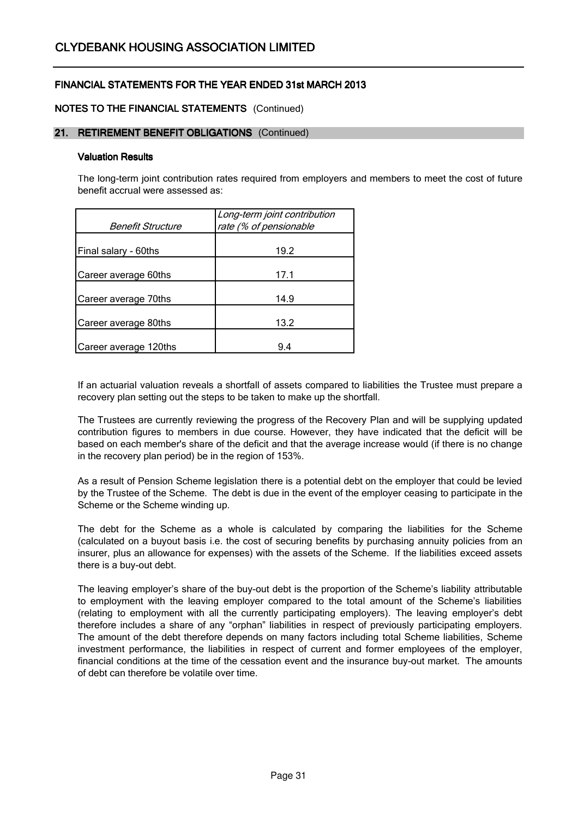## NOTES TO THE FINANCIAL STATEMENTS (Continued)

#### 21. RETIREMENT BENEFIT OBLIGATIONS (Continued)

#### Valuation Results

The long-term joint contribution rates required from employers and members to meet the cost of future benefit accrual were assessed as:

| Benefit Structure     | Long-term joint contribution<br>rate (% of pensionable |
|-----------------------|--------------------------------------------------------|
| Final salary - 60ths  | 19.2                                                   |
| Career average 60ths  | 17.1                                                   |
| Career average 70ths  | 14.9                                                   |
| Career average 80ths  | 13.2                                                   |
| Career average 120ths | 9.4                                                    |

If an actuarial valuation reveals a shortfall of assets compared to liabilities the Trustee must prepare a recovery plan setting out the steps to be taken to make up the shortfall.

The Trustees are currently reviewing the progress of the Recovery Plan and will be supplying updated contribution figures to members in due course. However, they have indicated that the deficit will be based on each member's share of the deficit and that the average increase would (if there is no change in the recovery plan period) be in the region of 153%.

As a result of Pension Scheme legislation there is a potential debt on the employer that could be levied by the Trustee of the Scheme. The debt is due in the event of the employer ceasing to participate in the Scheme or the Scheme winding up.

The debt for the Scheme as a whole is calculated by comparing the liabilities for the Scheme (calculated on a buyout basis i.e. the cost of securing benefits by purchasing annuity policies from an insurer, plus an allowance for expenses) with the assets of the Scheme. If the liabilities exceed assets there is a buy-out debt.

The leaving employer's share of the buy-out debt is the proportion of the Scheme's liability attributable to employment with the leaving employer compared to the total amount of the Scheme's liabilities (relating to employment with all the currently participating employers). The leaving employer's debt therefore includes a share of any "orphan" liabilities in respect of previously participating employers. The amount of the debt therefore depends on many factors including total Scheme liabilities, Scheme investment performance, the liabilities in respect of current and former employees of the employer, financial conditions at the time of the cessation event and the insurance buy-out market. The amounts of debt can therefore be volatile over time.